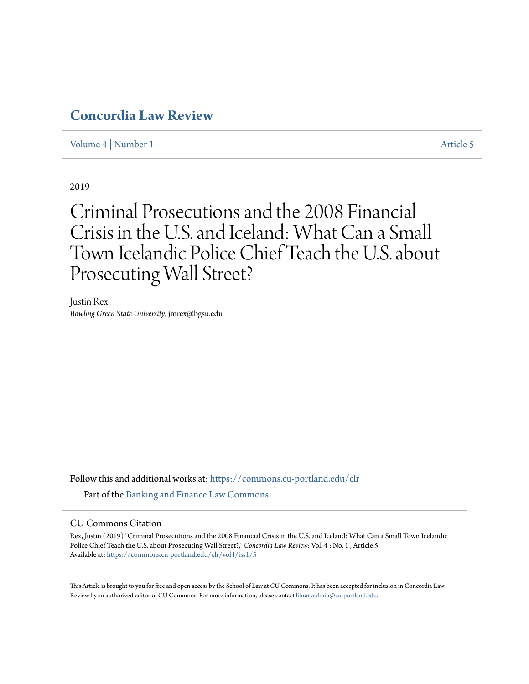# **[Concordia Law Review](https://commons.cu-portland.edu/clr?utm_source=commons.cu-portland.edu%2Fclr%2Fvol4%2Fiss1%2F5&utm_medium=PDF&utm_campaign=PDFCoverPages)**

[Volume 4](https://commons.cu-portland.edu/clr/vol4?utm_source=commons.cu-portland.edu%2Fclr%2Fvol4%2Fiss1%2F5&utm_medium=PDF&utm_campaign=PDFCoverPages) | [Number 1](https://commons.cu-portland.edu/clr/vol4/iss1?utm_source=commons.cu-portland.edu%2Fclr%2Fvol4%2Fiss1%2F5&utm_medium=PDF&utm_campaign=PDFCoverPages) [Article 5](https://commons.cu-portland.edu/clr/vol4/iss1/5?utm_source=commons.cu-portland.edu%2Fclr%2Fvol4%2Fiss1%2F5&utm_medium=PDF&utm_campaign=PDFCoverPages)

2019

# Criminal Prosecutions and the 2008 Financial Crisis in the U.S. and Iceland: What Can a Small Town Icelandic Police Chief Teach the U.S. about Prosecuting Wall Street?

Justin Rex *Bowling Green State University*, jmrex@bgsu.edu

Follow this and additional works at: [https://commons.cu-portland.edu/clr](https://commons.cu-portland.edu/clr?utm_source=commons.cu-portland.edu%2Fclr%2Fvol4%2Fiss1%2F5&utm_medium=PDF&utm_campaign=PDFCoverPages) Part of the [Banking and Finance Law Commons](http://network.bepress.com/hgg/discipline/833?utm_source=commons.cu-portland.edu%2Fclr%2Fvol4%2Fiss1%2F5&utm_medium=PDF&utm_campaign=PDFCoverPages)

# CU Commons Citation

Rex, Justin (2019) "Criminal Prosecutions and the 2008 Financial Crisis in the U.S. and Iceland: What Can a Small Town Icelandic Police Chief Teach the U.S. about Prosecuting Wall Street?," *Concordia Law Review*: Vol. 4 : No. 1 , Article 5. Available at: [https://commons.cu-portland.edu/clr/vol4/iss1/5](https://commons.cu-portland.edu/clr/vol4/iss1/5?utm_source=commons.cu-portland.edu%2Fclr%2Fvol4%2Fiss1%2F5&utm_medium=PDF&utm_campaign=PDFCoverPages)

This Article is brought to you for free and open access by the School of Law at CU Commons. It has been accepted for inclusion in Concordia Law Review by an authorized editor of CU Commons. For more information, please contact [libraryadmin@cu-portland.edu](mailto:libraryadmin@cu-portland.edu).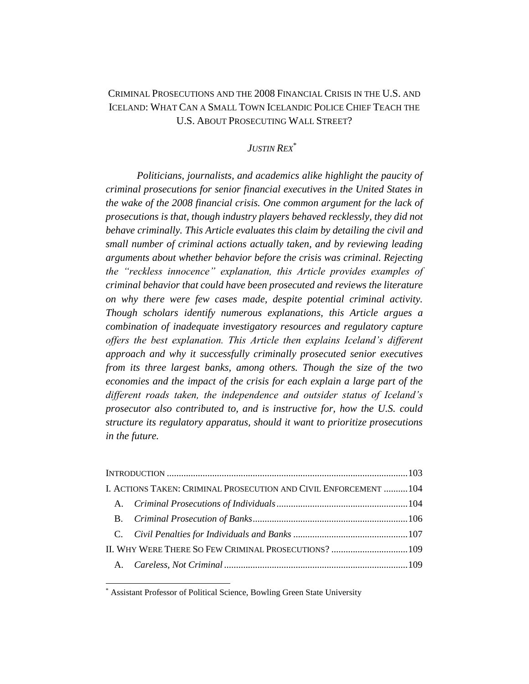# CRIMINAL PROSECUTIONS AND THE 2008 FINANCIAL CRISIS IN THE U.S. AND ICELAND: WHAT CAN A SMALL TOWN ICELANDIC POLICE CHIEF TEACH THE U.S. ABOUT PROSECUTING WALL STREET?

# *JUSTIN REX*\*

*Politicians, journalists, and academics alike highlight the paucity of criminal prosecutions for senior financial executives in the United States in the wake of the 2008 financial crisis. One common argument for the lack of prosecutions is that, though industry players behaved recklessly, they did not behave criminally. This Article evaluates this claim by detailing the civil and small number of criminal actions actually taken, and by reviewing leading arguments about whether behavior before the crisis was criminal. Rejecting the "reckless innocence" explanation, this Article provides examples of criminal behavior that could have been prosecuted and reviews the literature on why there were few cases made, despite potential criminal activity. Though scholars identify numerous explanations, this Article argues a combination of inadequate investigatory resources and regulatory capture offers the best explanation. This Article then explains Iceland's different approach and why it successfully criminally prosecuted senior executives from its three largest banks, among others. Though the size of the two economies and the impact of the crisis for each explain a large part of the different roads taken, the independence and outsider status of Iceland's prosecutor also contributed to, and is instructive for, how the U.S. could structure its regulatory apparatus, should it want to prioritize prosecutions in the future.*

|                                                       | I. ACTIONS TAKEN: CRIMINAL PROSECUTION AND CIVIL ENFORCEMENT  104 |  |
|-------------------------------------------------------|-------------------------------------------------------------------|--|
|                                                       |                                                                   |  |
|                                                       |                                                                   |  |
|                                                       |                                                                   |  |
| II. WHY WERE THERE SO FEW CRIMINAL PROSECUTIONS?  109 |                                                                   |  |
|                                                       |                                                                   |  |

\* Assistant Professor of Political Science, Bowling Green State University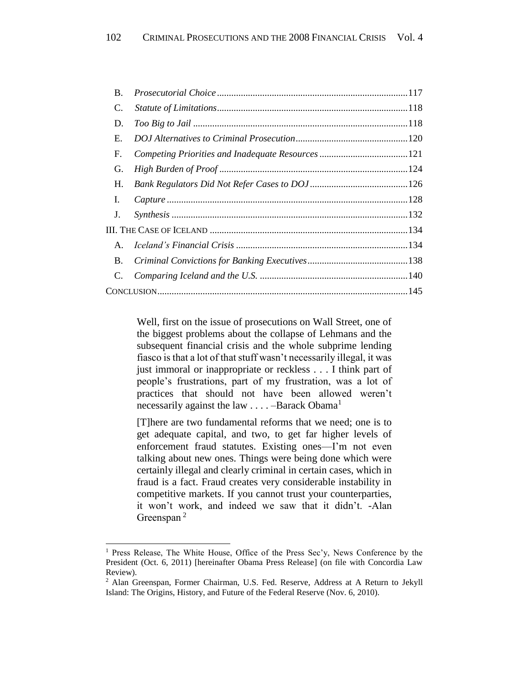| B.             |  |
|----------------|--|
| C.             |  |
| D.             |  |
| Е.             |  |
| F.             |  |
| G.             |  |
| Н.             |  |
| I.             |  |
| J.             |  |
|                |  |
| $\mathsf{A}$ . |  |
| <b>B.</b>      |  |
| C.             |  |
|                |  |

Well, first on the issue of prosecutions on Wall Street, one of the biggest problems about the collapse of Lehmans and the subsequent financial crisis and the whole subprime lending fiasco is that a lot of that stuff wasn't necessarily illegal, it was just immoral or inappropriate or reckless . . . I think part of people's frustrations, part of my frustration, was a lot of practices that should not have been allowed weren't necessarily against the law  $\dots$  –Barack Obama<sup>1</sup>

[T]here are two fundamental reforms that we need; one is to get adequate capital, and two, to get far higher levels of enforcement fraud statutes. Existing ones—I'm not even talking about new ones. Things were being done which were certainly illegal and clearly criminal in certain cases, which in fraud is a fact. Fraud creates very considerable instability in competitive markets. If you cannot trust your counterparties, it won't work, and indeed we saw that it didn't. -Alan Greenspan<sup>2</sup>

<sup>1</sup> Press Release, The White House, Office of the Press Sec'y, News Conference by the President (Oct. 6, 2011) [hereinafter Obama Press Release] (on file with Concordia Law Review).

<sup>2</sup> Alan Greenspan, Former Chairman, U.S. Fed. Reserve, Address at A Return to Jekyll Island: The Origins, History, and Future of the Federal Reserve (Nov. 6, 2010).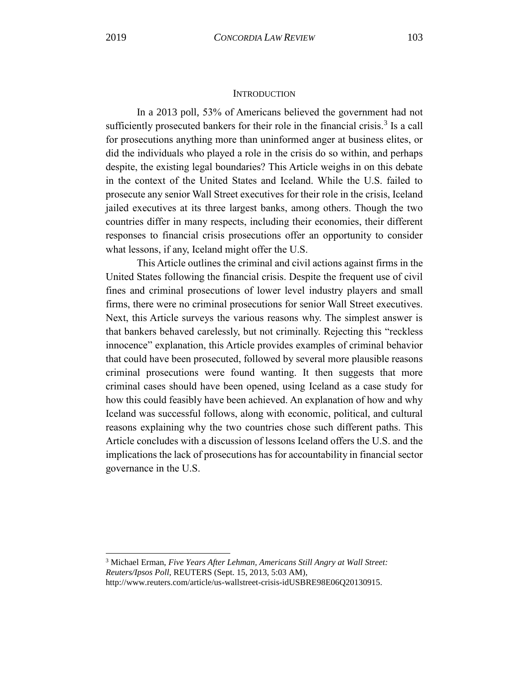# **INTRODUCTION**

<span id="page-3-0"></span>In a 2013 poll, 53% of Americans believed the government had not sufficiently prosecuted bankers for their role in the financial crisis.<sup>3</sup> Is a call for prosecutions anything more than uninformed anger at business elites, or did the individuals who played a role in the crisis do so within, and perhaps despite, the existing legal boundaries? This Article weighs in on this debate in the context of the United States and Iceland. While the U.S. failed to prosecute any senior Wall Street executives for their role in the crisis, Iceland jailed executives at its three largest banks, among others. Though the two countries differ in many respects, including their economies, their different responses to financial crisis prosecutions offer an opportunity to consider what lessons, if any, Iceland might offer the U.S.

This Article outlines the criminal and civil actions against firms in the United States following the financial crisis. Despite the frequent use of civil fines and criminal prosecutions of lower level industry players and small firms, there were no criminal prosecutions for senior Wall Street executives. Next, this Article surveys the various reasons why. The simplest answer is that bankers behaved carelessly, but not criminally. Rejecting this "reckless innocence" explanation, this Article provides examples of criminal behavior that could have been prosecuted, followed by several more plausible reasons criminal prosecutions were found wanting. It then suggests that more criminal cases should have been opened, using Iceland as a case study for how this could feasibly have been achieved. An explanation of how and why Iceland was successful follows, along with economic, political, and cultural reasons explaining why the two countries chose such different paths. This Article concludes with a discussion of lessons Iceland offers the U.S. and the implications the lack of prosecutions has for accountability in financial sector governance in the U.S.

<sup>3</sup> Michael Erman, *Five Years After Lehman, Americans Still Angry at Wall Street: Reuters/Ipsos Poll*, REUTERS (Sept. 15, 2013, 5:03 AM),

http://www.reuters.com/article/us-wallstreet-crisis-idUSBRE98E06Q20130915.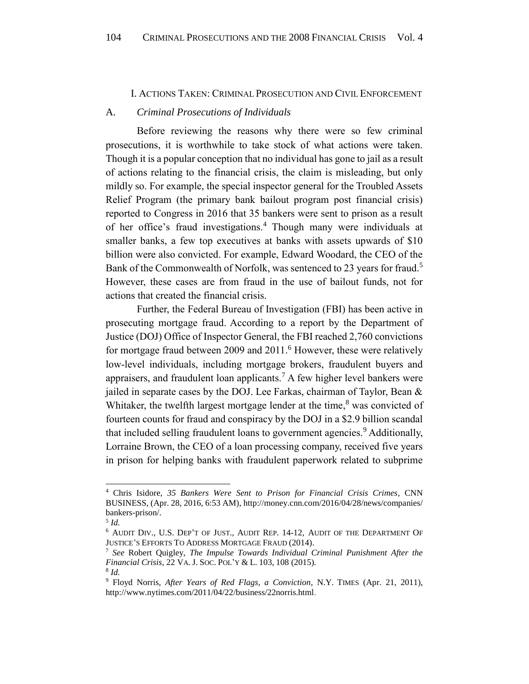#### I. ACTIONS TAKEN: CRIMINAL PROSECUTION AND CIVIL ENFORCEMENT

#### <span id="page-4-1"></span><span id="page-4-0"></span>A. *Criminal Prosecutions of Individuals*

Before reviewing the reasons why there were so few criminal prosecutions, it is worthwhile to take stock of what actions were taken. Though it is a popular conception that no individual has gone to jail as a result of actions relating to the financial crisis, the claim is misleading, but only mildly so. For example, the special inspector general for the Troubled Assets Relief Program (the primary bank bailout program post financial crisis) reported to Congress in 2016 that 35 bankers were sent to prison as a result of her office's fraud investigations.<sup>4</sup> Though many were individuals at smaller banks, a few top executives at banks with assets upwards of \$10 billion were also convicted. For example, Edward Woodard, the CEO of the Bank of the Commonwealth of Norfolk, was sentenced to 23 years for fraud.<sup>5</sup> However, these cases are from fraud in the use of bailout funds, not for actions that created the financial crisis.

<span id="page-4-2"></span>Further, the Federal Bureau of Investigation (FBI) has been active in prosecuting mortgage fraud. According to a report by the Department of Justice (DOJ) Office of Inspector General, the FBI reached 2,760 convictions for mortgage fraud between 2009 and 2011.<sup>6</sup> However, these were relatively low-level individuals, including mortgage brokers, fraudulent buyers and appraisers, and fraudulent loan applicants.<sup>7</sup> A few higher level bankers were jailed in separate cases by the DOJ. Lee Farkas, chairman of Taylor, Bean & Whitaker, the twelfth largest mortgage lender at the time, $8$  was convicted of fourteen counts for fraud and conspiracy by the DOJ in a \$2.9 billion scandal that included selling fraudulent loans to government agencies.<sup>9</sup> Additionally, Lorraine Brown, the CEO of a loan processing company, received five years in prison for helping banks with fraudulent paperwork related to subprime

<sup>4</sup> Chris Isidore, *35 Bankers Were Sent to Prison for Financial Crisis Crimes*, CNN BUSINESS, (Apr. 28, 2016, 6:53 AM), http://money.cnn.com/2016/04/28/news/companies/ bankers-prison/.

<sup>5</sup> *Id.*

<sup>6</sup> AUDIT DIV., U.S. DEP'T OF JUST., AUDIT REP. 14-12, AUDIT OF THE DEPARTMENT OF JUSTICE'S EFFORTS TO ADDRESS MORTGAGE FRAUD (2014).

<sup>7</sup> *See* Robert Quigley, *The Impulse Towards Individual Criminal Punishment After the Financial Crisis*, 22 VA. J. SOC. POL'Y & L. 103, 108 (2015). 8 *Id.*

<sup>9</sup> Floyd Norris, *After Years of Red Flags, a Conviction*, N.Y. TIMES (Apr. 21, 2011),

http://www.nytimes.com/2011/04/22/business/22norris.html.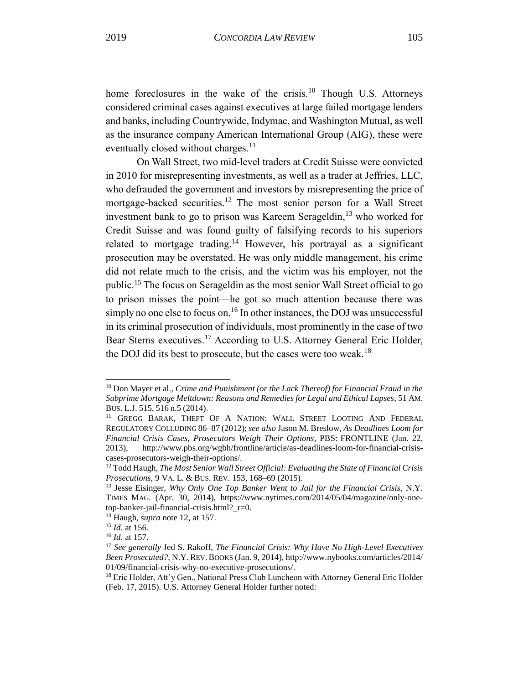home foreclosures in the wake of the crisis.<sup>10</sup> Though U.S. Attorneys considered criminal cases against executives at large failed mortgage lenders and banks, including Countrywide, Indymac, and Washington Mutual, as well as the insurance company American International Group (AIG), these were eventually closed without charges.<sup>11</sup>

<span id="page-5-0"></span>On Wall Street, two mid-level traders at Credit Suisse were convicted in 2010 for misrepresenting investments, as well as a trader at Jeffries, LLC, who defrauded the government and investors by misrepresenting the price of mortgage-backed securities.<sup>12</sup> The most senior person for a Wall Street investment bank to go to prison was Kareem Serageldin, $^{13}$  who worked for Credit Suisse and was found guilty of falsifying records to his superiors related to mortgage trading.<sup>14</sup> However, his portrayal as a significant prosecution may be overstated. He was only middle management, his crime did not relate much to the crisis, and the victim was his employer, not the public.<sup>15</sup> The focus on Serageldin as the most senior Wall Street official to go to prison misses the point—he got so much attention because there was simply no one else to focus on.<sup>16</sup> In other instances, the DOJ was unsuccessful in its criminal prosecution of individuals, most prominently in the case of two Bear Sterns executives.<sup>17</sup> According to U.S. Attorney General Eric Holder, the DOJ did its best to prosecute, but the cases were too weak.<sup>18</sup>

<sup>10</sup> Don Mayer et al., *Crime and Punishment (or the Lack Thereof) for Financial Fraud in the Subprime Mortgage Meltdown: Reasons and Remedies for Legal and Ethical Lapses*, 51 AM. BUS. L.J. 515, 516 n.5 (2014).

<sup>&</sup>lt;sup>11</sup> GREGG BARAK, THEFT OF A NATION: WALL STREET LOOTING AND FEDERAL REGULATORY COLLUDING 86–87 (2012);*see also* Jason M. Breslow, *As Deadlines Loom for Financial Crisis Cases, Prosecutors Weigh Their Options*, PBS: FRONTLINE (Jan. 22, 2013), http://www.pbs.org/wgbh/frontline/article/as-deadlines-loom-for-financial-crisiscases-prosecutors-weigh-their-options/.

<sup>12</sup> Todd Haugh, *The Most Senior Wall Street Official: Evaluating the State of Financial Crisis Prosecutions*, 9 VA. L. & BUS. REV. 153, 168–69 (2015).

<sup>13</sup> Jesse Eisinger, *Why Only One Top Banker Went to Jail for the Financial Crisis*, N.Y. TIMES MAG. (Apr. 30, 2014), https://www.nytimes.com/2014/05/04/magazine/only-onetop-banker-jail-financial-crisis.html?\_r=0.

<sup>14</sup> Haugh, *supra* note 12, at 157.

<sup>15</sup> *Id.* at 156*.*

<sup>16</sup> *Id.* at 157.

<sup>17</sup> *See generally* Jed S. Rakoff, *The Financial Crisis: Why Have No High-Level Executives Been Prosecuted?*, N.Y. REV.BOOKS (Jan. 9, 2014), http://www.nybooks.com/articles/2014/ 01/09/financial-crisis-why-no-executive-prosecutions/.

<sup>&</sup>lt;sup>18</sup> Eric Holder, Att'y Gen., National Press Club Luncheon with Attorney General Eric Holder (Feb. 17, 2015). U.S. Attorney General Holder further noted: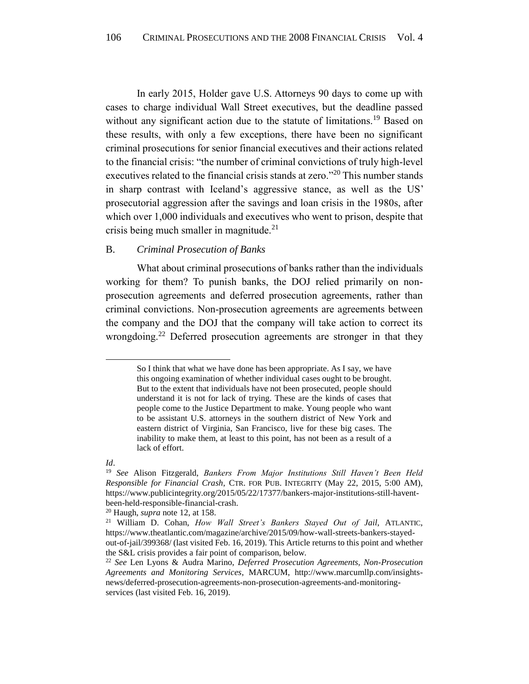In early 2015, Holder gave U.S. Attorneys 90 days to come up with cases to charge individual Wall Street executives, but the deadline passed without any significant action due to the statute of limitations.<sup>19</sup> Based on these results, with only a few exceptions, there have been no significant criminal prosecutions for senior financial executives and their actions related to the financial crisis: "the number of criminal convictions of truly high-level executives related to the financial crisis stands at zero."<sup>20</sup> This number stands in sharp contrast with Iceland's aggressive stance, as well as the US' prosecutorial aggression after the savings and loan crisis in the 1980s, after which over 1,000 individuals and executives who went to prison, despite that crisis being much smaller in magnitude.<sup>21</sup>

# <span id="page-6-1"></span><span id="page-6-0"></span>B. *Criminal Prosecution of Banks*

What about criminal prosecutions of banks rather than the individuals working for them? To punish banks, the DOJ relied primarily on nonprosecution agreements and deferred prosecution agreements, rather than criminal convictions. Non-prosecution agreements are agreements between the company and the DOJ that the company will take action to correct its wrongdoing.<sup>22</sup> Deferred prosecution agreements are stronger in that they

So I think that what we have done has been appropriate. As I say, we have this ongoing examination of whether individual cases ought to be brought. But to the extent that individuals have not been prosecuted, people should understand it is not for lack of trying. These are the kinds of cases that people come to the Justice Department to make. Young people who want to be assistant U.S. attorneys in the southern district of New York and eastern district of Virginia, San Francisco, live for these big cases. The inability to make them, at least to this point, has not been as a result of a lack of effort.

*Id*.

<sup>19</sup> *See* Alison Fitzgerald, *Bankers From Major Institutions Still Haven't Been Held Responsible for Financial Crash*, CTR. FOR PUB. INTEGRITY (May 22, 2015, 5:00 AM), https://www.publicintegrity.org/2015/05/22/17377/bankers-major-institutions-still-haventbeen-held-responsible-financial-crash.

<sup>20</sup> Haugh, *supra* note 12, at 158.

<sup>21</sup> William D. Cohan, *How Wall Street's Bankers Stayed Out of Jail*, ATLANTIC, https://www.theatlantic.com/magazine/archive/2015/09/how-wall-streets-bankers-stayedout-of-jail/399368/ (last visited Feb. 16, 2019). This Article returns to this point and whether the S&L crisis provides a fair point of comparison, below.

<sup>22</sup> *See* Len Lyons & Audra Marino, *Deferred Prosecution Agreements, Non-Prosecution Agreements and Monitoring Services*, MARCUM, http://www.marcumllp.com/insightsnews/deferred-prosecution-agreements-non-prosecution-agreements-and-monitoringservices (last visited Feb. 16, 2019).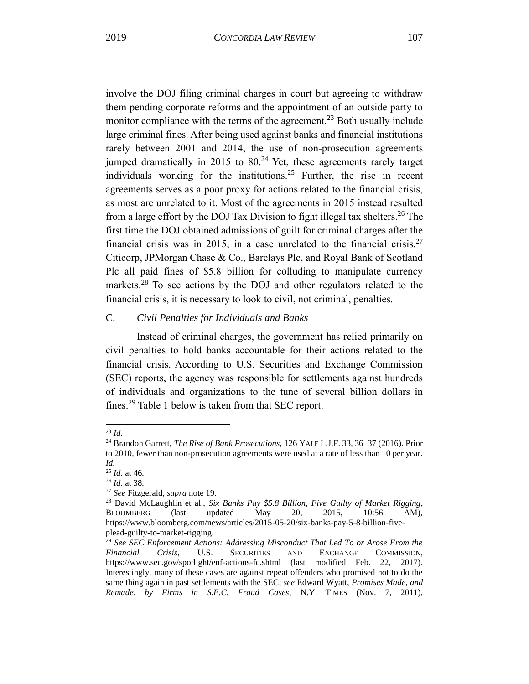involve the DOJ filing criminal charges in court but agreeing to withdraw them pending corporate reforms and the appointment of an outside party to monitor compliance with the terms of the agreement.<sup>23</sup> Both usually include large criminal fines. After being used against banks and financial institutions rarely between 2001 and 2014, the use of non-prosecution agreements jumped dramatically in 2015 to  $80<sup>24</sup>$  Yet, these agreements rarely target individuals working for the institutions.<sup>25</sup> Further, the rise in recent agreements serves as a poor proxy for actions related to the financial crisis, as most are unrelated to it. Most of the agreements in 2015 instead resulted from a large effort by the DOJ Tax Division to fight illegal tax shelters.<sup>26</sup> The first time the DOJ obtained admissions of guilt for criminal charges after the financial crisis was in 2015, in a case unrelated to the financial crisis.<sup>27</sup> Citicorp, JPMorgan Chase & Co., Barclays Plc, and Royal Bank of Scotland Plc all paid fines of \$5.8 billion for colluding to manipulate currency markets.<sup>28</sup> To see actions by the DOJ and other regulators related to the financial crisis, it is necessary to look to civil, not criminal, penalties.

# <span id="page-7-0"></span>C. *Civil Penalties for Individuals and Banks*

Instead of criminal charges, the government has relied primarily on civil penalties to hold banks accountable for their actions related to the financial crisis. According to U.S. Securities and Exchange Commission (SEC) reports, the agency was responsible for settlements against hundreds of individuals and organizations to the tune of several billion dollars in fines.<sup>29</sup> Table 1 below is taken from that SEC report.

<sup>23</sup> *Id.*

<sup>24</sup> Brandon Garrett, *The Rise of Bank Prosecutions*, 126 YALE L.J.F. 33, 36–37 (2016). Prior to 2010, fewer than non-prosecution agreements were used at a rate of less than 10 per year. *Id.*

<sup>25</sup> *Id.* at 46*.*

<sup>26</sup> *Id.* at 38*.*

<sup>27</sup> *See* [Fitzgerald,](https://www.publicintegrity.org/2015/05/22/17377/bankers-major-institutions-still-havent-been-held-responsible-financial-crash) *supra* note 19.

<sup>28</sup> David McLaughlin et al., *Six Banks Pay \$5.8 Billion, Five Guilty of Market Rigging*, BLOOMBERG (last updated May 20, 2015, 10:56 AM), https://www.bloomberg.com/news/articles/2015-05-20/six-banks-pay-5-8-billion-fiveplead-guilty-to-market-rigging.

<sup>29</sup> *See SEC Enforcement Actions: Addressing Misconduct That Led To or Arose From the Financial Crisis*, U.S. SECURITIES AND EXCHANGE COMMISSION, https://www.sec.gov/spotlight/enf-actions-fc.shtml (last modified Feb. 22, 2017). Interestingly, many of these cases are against repeat offenders who promised not to do the same thing again in past settlements with the SEC; *see* Edward Wyatt, *Promises Made, and Remade, by Firms in S.E.C. Fraud Cases*, N.Y. TIMES (Nov. 7, 2011),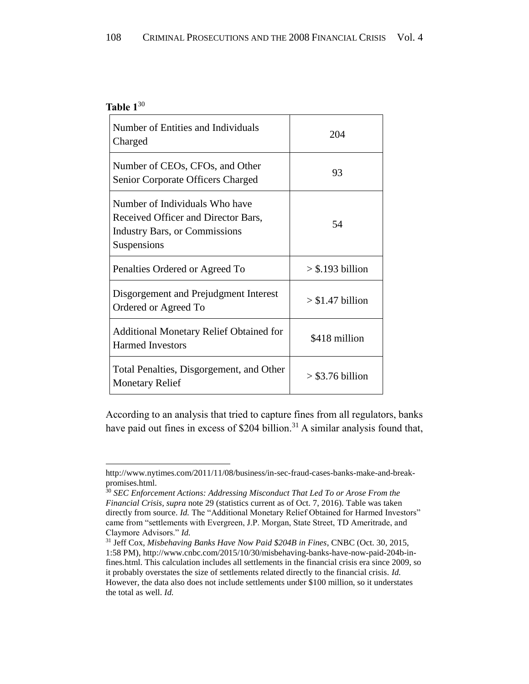# **Table 1** 30

l

| Number of Entities and Individuals<br>Charged                                                                         | 204                |
|-----------------------------------------------------------------------------------------------------------------------|--------------------|
| Number of CEOs, CFOs, and Other<br>Senior Corporate Officers Charged                                                  | 93                 |
| Number of Individuals Who have<br>Received Officer and Director Bars,<br>Industry Bars, or Commissions<br>Suspensions | 54                 |
| Penalties Ordered or Agreed To                                                                                        | $>$ \$.193 billion |
| Disgorgement and Prejudgment Interest<br>Ordered or Agreed To                                                         | $> $1.47$ billion  |
| <b>Additional Monetary Relief Obtained for</b><br><b>Harmed Investors</b>                                             | \$418 million      |
| Total Penalties, Disgorgement, and Other<br><b>Monetary Relief</b>                                                    | $>$ \$3.76 billion |

According to an analysis that tried to capture fines from all regulators, banks have paid out fines in excess of \$204 billion.<sup>31</sup> A similar analysis found that,

http://www.nytimes.com/2011/11/08/business/in-sec-fraud-cases-banks-make-and-breakpromises.html.

<sup>30</sup> *SEC Enforcement Actions: Addressing Misconduct That Led To or Arose From the Financial Crisis, supra* note 29 (statistics current as of Oct. 7, 2016). Table was taken directly from source. *Id*. The "Additional Monetary Relief Obtained for Harmed Investors" came from "settlements with Evergreen, J.P. Morgan, State Street, TD Ameritrade, and Claymore Advisors." *Id.*

<sup>31</sup> Jeff Cox, *Misbehaving Banks Have Now Paid \$204B in Fines*, CNBC (Oct. 30, 2015, 1:58 PM)[, http://www.cnbc.com/2015/10/30/misbehaving-banks-have-now-paid-204b-in](http://www.cnbc.com/2015/10/30/misbehaving-banks-have-now-paid-204b-in-fines.html)[fines.html.](http://www.cnbc.com/2015/10/30/misbehaving-banks-have-now-paid-204b-in-fines.html) This calculation includes all settlements in the financial crisis era since 2009, so it probably overstates the size of settlements related directly to the financial crisis. *Id.* However, the data also does not include settlements under \$100 million, so it understates the total as well. *Id.*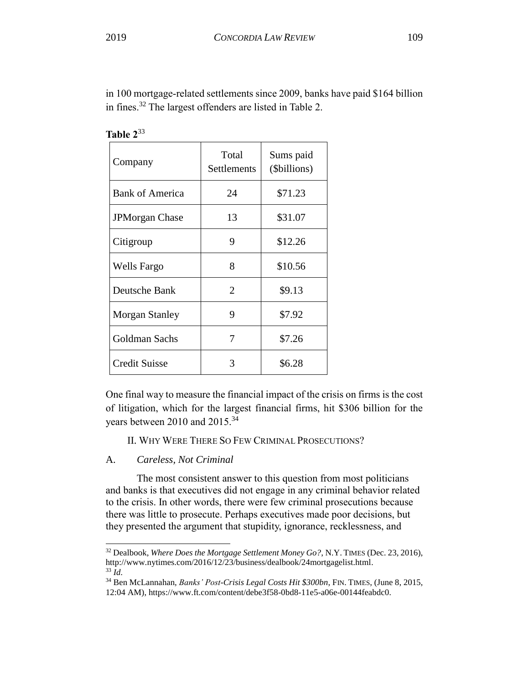in 100 mortgage-related settlements since 2009, banks have paid \$164 billion in fines.<sup>32</sup> The largest offenders are listed in Table 2.

| Company                | Total<br>Settlements | Sums paid<br>(\$billions) |
|------------------------|----------------------|---------------------------|
| <b>Bank of America</b> | 24                   | \$71.23                   |
| <b>JPMorgan Chase</b>  | 13                   | \$31.07                   |
| Citigroup              | 9                    | \$12.26                   |
| Wells Fargo            | 8                    | \$10.56                   |
| Deutsche Bank          | 2                    | \$9.13                    |
| <b>Morgan Stanley</b>  | 9                    | \$7.92                    |
| Goldman Sachs          | 7                    | \$7.26                    |
| <b>Credit Suisse</b>   | 3                    | \$6.28                    |

| 'able |  |
|-------|--|
|-------|--|

One final way to measure the financial impact of the crisis on firms is the cost of litigation, which for the largest financial firms, hit \$306 billion for the years between 2010 and 2015.<sup>34</sup>

<span id="page-9-0"></span>II. WHY WERE THERE SO FEW CRIMINAL PROSECUTIONS?

# <span id="page-9-1"></span>A. *Careless, Not Criminal*

l

The most consistent answer to this question from most politicians and banks is that executives did not engage in any criminal behavior related to the crisis. In other words, there were few criminal prosecutions because there was little to prosecute. Perhaps executives made poor decisions, but they presented the argument that stupidity, ignorance, recklessness, and

<sup>32</sup> Dealbook, *Where Does the Mortgage Settlement Money Go?*, N.Y. TIMES (Dec. 23, 2016), [http://www.nytimes.com/2016/12/23/business/dealbook/24mortgagelist.html.](http://www.nytimes.com/2016/12/23/business/dealbook/24mortgagelist.html) <sup>33</sup> *Id.*

<sup>34</sup> Ben McLannahan, *Banks' Post-Crisis Legal Costs Hit \$300bn*, FIN. TIMES, (June 8, 2015, 12:04 AM), https://www.ft.com/content/debe3f58-0bd8-11e5-a06e-00144feabdc0.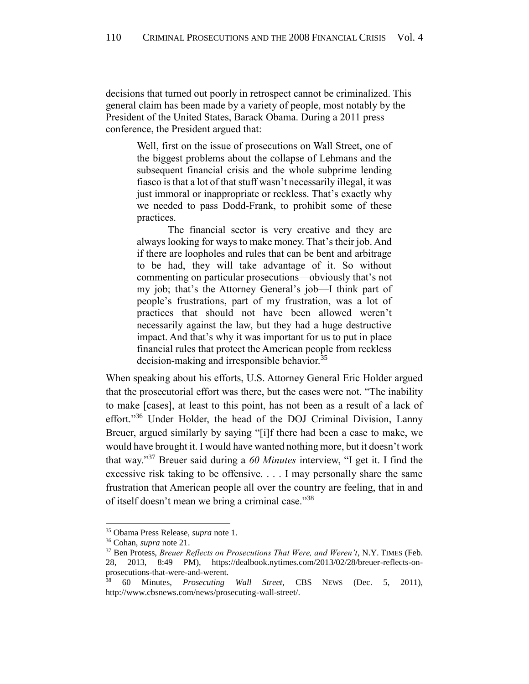decisions that turned out poorly in retrospect cannot be criminalized. This general claim has been made by a variety of people, most notably by the President of the United States, Barack Obama. During a 2011 press conference, the President argued that:

Well, first on the issue of prosecutions on Wall Street, one of the biggest problems about the collapse of Lehmans and the subsequent financial crisis and the whole subprime lending fiasco is that a lot of that stuff wasn't necessarily illegal, it was just immoral or inappropriate or reckless. That's exactly why we needed to pass Dodd-Frank, to prohibit some of these practices.

The financial sector is very creative and they are always looking for ways to make money. That's their job. And if there are loopholes and rules that can be bent and arbitrage to be had, they will take advantage of it. So without commenting on particular prosecutions—obviously that's not my job; that's the Attorney General's job—I think part of people's frustrations, part of my frustration, was a lot of practices that should not have been allowed weren't necessarily against the law, but they had a huge destructive impact. And that's why it was important for us to put in place financial rules that protect the American people from reckless decision-making and irresponsible behavior.<sup>35</sup>

When speaking about his efforts, U.S. Attorney General Eric Holder argued that the prosecutorial effort was there, but the cases were not. "The inability to make [cases], at least to this point, has not been as a result of a lack of effort."<sup>36</sup> Under Holder, the head of the DOJ Criminal Division, Lanny Breuer, argued similarly by saying "[i]f there had been a case to make, we would have brought it. I would have wanted nothing more, but it doesn't work that way." <sup>37</sup> Breuer said during a *60 Minutes* interview, "I get it. I find the excessive risk taking to be offensive. . . . I may personally share the same frustration that American people all over the country are feeling, that in and of itself doesn't mean we bring a criminal case."38

<sup>35</sup> Obama Press Release, *supra* note 1.

<sup>36</sup> Cohan, *supra* note 21.

<sup>37</sup> Ben Protess, *Breuer Reflects on Prosecutions That Were, and Weren't*, N.Y. TIMES (Feb. 28, 2013, 8:49 PM), https://dealbook.nytimes.com/2013/02/28/breuer-reflects-onprosecutions-that-were-and-werent.

<sup>38</sup> 60 Minutes, *Prosecuting Wall Street,* CBS NEWS (Dec. 5, 2011), http://www.cbsnews.com/news/prosecuting-wall-street/.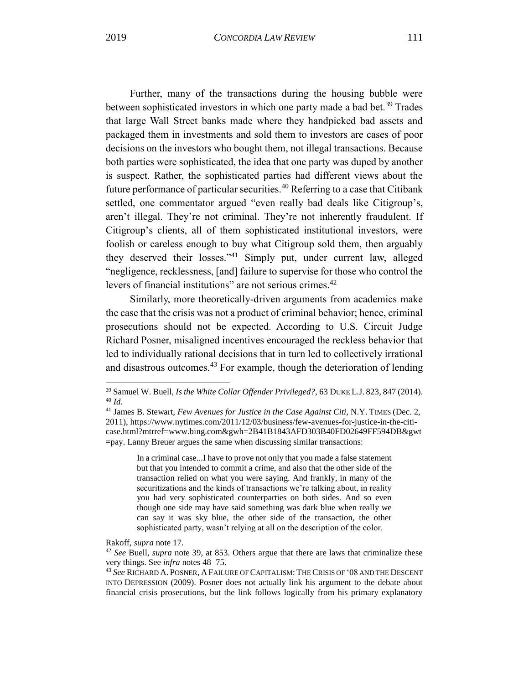Further, many of the transactions during the housing bubble were between sophisticated investors in which one party made a bad bet.<sup>39</sup> Trades that large Wall Street banks made where they handpicked bad assets and packaged them in investments and sold them to investors are cases of poor decisions on the investors who bought them, not illegal transactions. Because both parties were sophisticated, the idea that one party was duped by another is suspect. Rather, the sophisticated parties had different views about the future performance of particular securities.<sup>40</sup> Referring to a case that Citibank settled, one commentator argued "even really bad deals like Citigroup's, aren't illegal. They're not criminal. They're not inherently fraudulent. If Citigroup's clients, all of them sophisticated institutional investors, were foolish or careless enough to buy what Citigroup sold them, then arguably they deserved their losses."<sup>41</sup> Simply put, under current law, alleged "negligence, recklessness, [and] failure to supervise for those who control the levers of financial institutions" are not serious crimes.<sup>42</sup>

Similarly, more theoretically-driven arguments from academics make the case that the crisis was not a product of criminal behavior; hence, criminal prosecutions should not be expected. According to U.S. Circuit Judge Richard Posner, misaligned incentives encouraged the reckless behavior that led to individually rational decisions that in turn led to collectively irrational and disastrous outcomes.<sup>43</sup> For example, though the deterioration of lending

In a criminal case...I have to prove not only that you made a false statement but that you intended to commit a crime, and also that the other side of the transaction relied on what you were saying. And frankly, in many of the securitizations and the kinds of transactions we're talking about, in reality you had very sophisticated counterparties on both sides. And so even though one side may have said something was dark blue when really we can say it was sky blue, the other side of the transaction, the other sophisticated party, wasn't relying at all on the description of the color.

Rakoff, *supra* note 17.

<sup>39</sup> Samuel W. Buell, *Is the White Collar Offender Privileged?*, 63 DUKE L.J. 823, 847 (2014). <sup>40</sup> *Id.*

<sup>41</sup> James B. Stewart, *Few Avenues for Justice in the Case Against Citi*, N.Y. TIMES (Dec. 2, 2011), https://www.nytimes.com/2011/12/03/business/few-avenues-for-justice-in-the-citicase.html?mtrref=www.bing.com&gwh=2B41B1843AFD303B40FD02649FF594DB&gwt =pay. Lanny Breuer argues the same when discussing similar transactions:

<sup>42</sup> *See* Buell, *supra* note 39, at 853. Others argue that there are laws that criminalize these very things. See *infra* notes 48–75.

<sup>43</sup> *See* RICHARD A. POSNER, A FAILURE OF CAPITALISM: THE CRISIS OF '08 AND THE DESCENT INTO DEPRESSION (2009). Posner does not actually link his argument to the debate about financial crisis prosecutions, but the link follows logically from his primary explanatory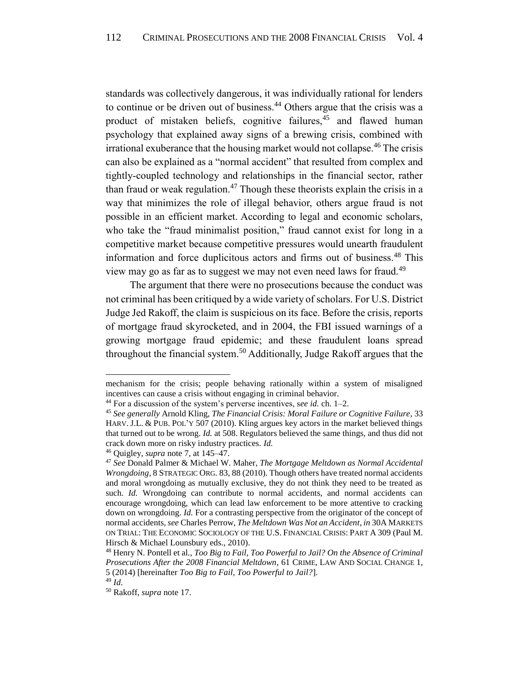standards was collectively dangerous, it was individually rational for lenders to continue or be driven out of business.<sup>44</sup> Others argue that the crisis was a product of mistaken beliefs, cognitive failures,<sup>45</sup> and flawed human psychology that explained away signs of a brewing crisis, combined with irrational exuberance that the housing market would not collapse.<sup>46</sup> The crisis can also be explained as a "normal accident" that resulted from complex and tightly-coupled technology and relationships in the financial sector, rather than fraud or weak regulation.<sup>47</sup> Though these theorists explain the crisis in a way that minimizes the role of illegal behavior, others argue fraud is not possible in an efficient market. According to legal and economic scholars, who take the "fraud minimalist position," fraud cannot exist for long in a competitive market because competitive pressures would unearth fraudulent information and force duplicitous actors and firms out of business.<sup>48</sup> This view may go as far as to suggest we may not even need laws for fraud.<sup>49</sup>

The argument that there were no prosecutions because the conduct was not criminal has been critiqued by a wide variety of scholars. For U.S. District Judge Jed Rakoff, the claim is suspicious on its face. Before the crisis, reports of mortgage fraud skyrocketed, and in 2004, the FBI issued warnings of a growing mortgage fraud epidemic; and these fraudulent loans spread throughout the financial system.<sup>50</sup> Additionally, Judge Rakoff argues that the

mechanism for the crisis; people behaving rationally within a system of misaligned incentives can cause a crisis without engaging in criminal behavior.

<sup>44</sup> For a discussion of the system's perverse incentives, s*ee id.* ch. 1–2.

<sup>45</sup> *See generally* Arnold Kling, *The Financial Crisis: Moral Failure or Cognitive Failure*, 33 HARV. J.L. & PUB. POL'Y 507 (2010). Kling argues key actors in the market believed things that turned out to be wrong. *Id.* at 508. Regulators believed the same things, and thus did not crack down more on risky industry practices. *Id.*

<sup>46</sup> Quigley, *supra* note [7,](#page-4-2) at 145–47.

<sup>47</sup> *See* Donald Palmer & Michael W. Maher, *The Mortgage Meltdown as Normal Accidental Wrongdoing*, 8 STRATEGIC ORG. 83, 88 (2010). Though others have treated normal accidents and moral wrongdoing as mutually exclusive, they do not think they need to be treated as such. *Id.* Wrongdoing can contribute to normal accidents, and normal accidents can encourage wrongdoing, which can lead law enforcement to be more attentive to cracking down on wrongdoing. *Id.* For a contrasting perspective from the originator of the concept of normal accidents, *see* Charles Perrow, *The Meltdown Was Not an Accident*, *in* 30A MARKETS ON TRIAL: THE ECONOMIC SOCIOLOGY OF THE U.S. FINANCIAL CRISIS: PART A 309 (Paul M. Hirsch & Michael Lounsbury eds., 2010).

<sup>48</sup> Henry N. Pontell et al., *Too Big to Fail, Too Powerful to Jail? On the Absence of Criminal Prosecutions After the 2008 Financial Meltdown*, 61 CRIME, LAW AND SOCIAL CHANGE 1, 5 (2014) [hereinafter *Too Big to Fail, Too Powerful to Jail?*].

<sup>49</sup> *Id*.

<sup>50</sup> Rakoff, *supra* note 17.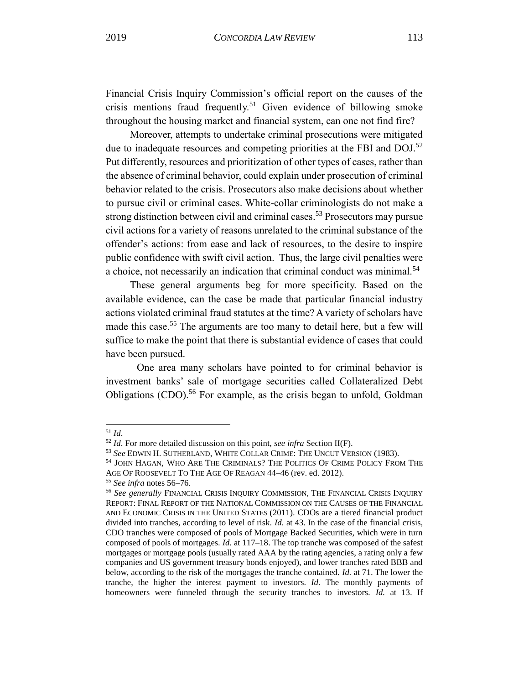Financial Crisis Inquiry Commission's official report on the causes of the crisis mentions fraud frequently.<sup>51</sup> Given evidence of billowing smoke throughout the housing market and financial system, can one not find fire?

Moreover, attempts to undertake criminal prosecutions were mitigated due to inadequate resources and competing priorities at the FBI and DOJ.<sup>52</sup> Put differently, resources and prioritization of other types of cases, rather than the absence of criminal behavior, could explain under prosecution of criminal behavior related to the crisis. Prosecutors also make decisions about whether to pursue civil or criminal cases. White-collar criminologists do not make a strong distinction between civil and criminal cases.<sup>53</sup> Prosecutors may pursue civil actions for a variety of reasons unrelated to the criminal substance of the offender's actions: from ease and lack of resources, to the desire to inspire public confidence with swift civil action. Thus, the large civil penalties were a choice, not necessarily an indication that criminal conduct was minimal.<sup>54</sup>

<span id="page-13-0"></span>These general arguments beg for more specificity. Based on the available evidence, can the case be made that particular financial industry actions violated criminal fraud statutes at the time? A variety of scholars have made this case.<sup>55</sup> The arguments are too many to detail here, but a few will suffice to make the point that there is substantial evidence of cases that could have been pursued.

One area many scholars have pointed to for criminal behavior is investment banks' sale of mortgage securities called Collateralized Debt Obligations  $(CDO)$ <sup>56</sup> For example, as the crisis began to unfold, Goldman

<sup>51</sup> *Id*.

<sup>52</sup> *Id*. For more detailed discussion on this point, *see infra* Section II(F).

<sup>53</sup> *See* EDWIN H. SUTHERLAND, WHITE COLLAR CRIME: THE UNCUT VERSION (1983).

<sup>54</sup> JOHN HAGAN, WHO ARE THE CRIMINALS? THE POLITICS OF CRIME POLICY FROM THE

AGE OF ROOSEVELT TO THE AGE OF REAGAN 44–46 (rev. ed. 2012).

<sup>55</sup> *See infra* notes 56–76.

<sup>56</sup> *See generally* FINANCIAL CRISIS INQUIRY COMMISSION, THE FINANCIAL CRISIS INQUIRY REPORT: FINAL REPORT OF THE NATIONAL COMMISSION ON THE CAUSES OF THE FINANCIAL AND ECONOMIC CRISIS IN THE UNITED STATES (2011). CDOs are a tiered financial product divided into tranches, according to level of risk. *Id.* at 43. In the case of the financial crisis, CDO tranches were composed of pools of Mortgage Backed Securities, which were in turn composed of pools of mortgages. *Id.* at 117–18. The top tranche was composed of the safest mortgages or mortgage pools (usually rated AAA by the rating agencies, a rating only a few companies and US government treasury bonds enjoyed), and lower tranches rated BBB and below, according to the risk of the mortgages the tranche contained. *Id.* at 71. The lower the tranche, the higher the interest payment to investors. *Id.* The monthly payments of homeowners were funneled through the security tranches to investors. *Id.* at 13. If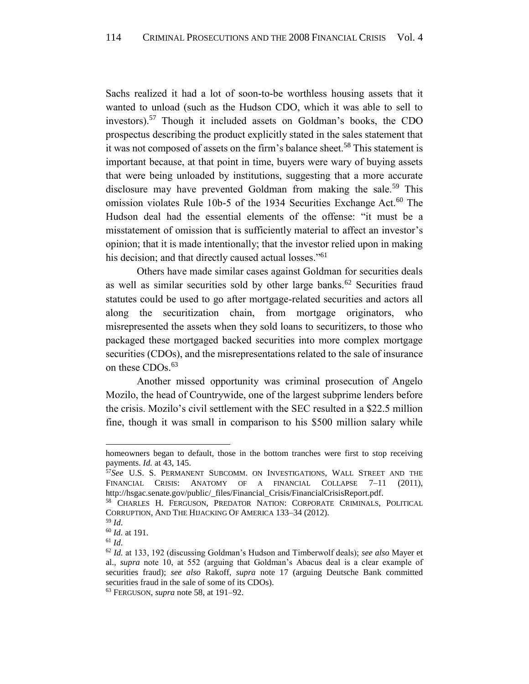Sachs realized it had a lot of soon-to-be worthless housing assets that it wanted to unload (such as the Hudson CDO, which it was able to sell to investors).<sup>57</sup> Though it included assets on Goldman's books, the CDO prospectus describing the product explicitly stated in the sales statement that it was not composed of assets on the firm's balance sheet.<sup>58</sup> This statement is important because, at that point in time, buyers were wary of buying assets that were being unloaded by institutions, suggesting that a more accurate disclosure may have prevented Goldman from making the sale.<sup>59</sup> This omission violates Rule 10b-5 of the 1934 Securities Exchange Act.<sup>60</sup> The Hudson deal had the essential elements of the offense: "it must be a misstatement of omission that is sufficiently material to affect an investor's opinion; that it is made intentionally; that the investor relied upon in making his decision; and that directly caused actual losses."<sup>61</sup>

Others have made similar cases against Goldman for securities deals as well as similar securities sold by other large banks.<sup>62</sup> Securities fraud statutes could be used to go after mortgage-related securities and actors all along the securitization chain, from mortgage originators, who misrepresented the assets when they sold loans to securitizers, to those who packaged these mortgaged backed securities into more complex mortgage securities (CDOs), and the misrepresentations related to the sale of insurance on these CDOs.<sup>63</sup>

Another missed opportunity was criminal prosecution of Angelo Mozilo, the head of Countrywide, one of the largest subprime lenders before the crisis. Mozilo's civil settlement with the SEC resulted in a \$22.5 million fine, though it was small in comparison to his \$500 million salary while

homeowners began to default, those in the bottom tranches were first to stop receiving payments. *Id.* at 43, 145.

<sup>57</sup>*See* U.S. S. PERMANENT SUBCOMM. ON INVESTIGATIONS, WALL STREET AND THE FINANCIAL CRISIS: ANATOMY OF A FINANCIAL COLLAPSE 7-11 (2011), [http://hsgac.senate.gov/public/\\_files/Financial\\_Crisis/FinancialCrisisReport.pdf.](http://hsgac.senate.gov/public/_files/Financial_Crisis/FinancialCrisisReport.pdf)

<sup>58</sup> CHARLES H. FERGUSON, PREDATOR NATION: CORPORATE CRIMINALS, POLITICAL CORRUPTION, AND THE HIJACKING OF AMERICA 133–34 (2012).

<sup>59</sup> *Id*.

<sup>60</sup> *Id.* at 191*.*

<sup>61</sup> *Id*.

<sup>62</sup> *Id.* at 133, 192 (discussing Goldman's Hudson and Timberwolf deals); *see also* Mayer et al., *supra* note 10, at 552 (arguing that Goldman's Abacus deal is a clear example of securities fraud); *see also* Rakoff, *supra* note 17 (arguing Deutsche Bank committed securities fraud in the sale of some of its CDOs).

<sup>63</sup> FERGUSON, *supra* note 58, at 191–92.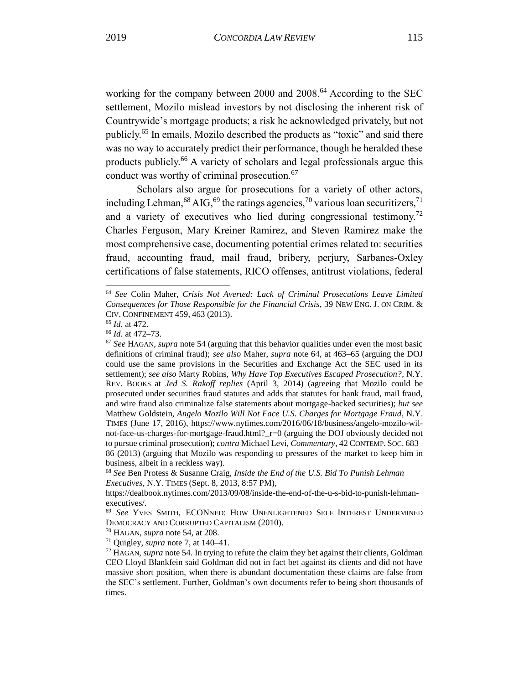working for the company between 2000 and 2008.<sup>64</sup> According to the SEC settlement, Mozilo mislead investors by not disclosing the inherent risk of Countrywide's mortgage products; a risk he acknowledged privately, but not publicly.<sup>65</sup> In emails, Mozilo described the products as "toxic" and said there was no way to accurately predict their performance, though he heralded these products publicly.<sup>66</sup> A variety of scholars and legal professionals argue this

Scholars also argue for prosecutions for a variety of other actors, including Lehman,  $^{68}$  AIG,  $^{69}$  the ratings agencies,  $^{70}$  various loan securitizers,  $^{71}$ and a variety of executives who lied during congressional testimony.<sup>72</sup> Charles Ferguson, Mary Kreiner Ramirez, and Steven Ramirez make the most comprehensive case, documenting potential crimes related to: securities fraud, accounting fraud, mail fraud, bribery, perjury, Sarbanes-Oxley certifications of false statements, RICO offenses, antitrust violations, federal

conduct was worthy of criminal prosecution.<sup>67</sup>

<sup>64</sup> *See* Colin Maher, *Crisis Not Averted: Lack of Criminal Prosecutions Leave Limited Consequences for Those Responsible for the Financial Crisis*, 39 NEW ENG. J. ON CRIM. & CIV. CONFINEMENT 459, 463 (2013).

<sup>65</sup> *Id.* at 472.

<sup>66</sup> *Id.* at 472–73.

<sup>67</sup> *See* HAGAN, *supra* note 54 (arguing that this behavior qualities under even the most basic definitions of criminal fraud); *see also* Maher, *supra* note 64, at 463–65 (arguing the DOJ could use the same provisions in the Securities and Exchange Act the SEC used in its settlement); *see also* Marty Robins, *Why Have Top Executives Escaped Prosecution?*, N.Y. REV. BOOKS at *Jed S. Rakoff replies* (April 3, 2014) (agreeing that Mozilo could be prosecuted under securities fraud statutes and adds that statutes for bank fraud, mail fraud, and wire fraud also criminalize false statements about mortgage-backed securities); *but see*  Matthew Goldstein, *Angelo Mozilo Will Not Face U.S. Charges for Mortgage Fraud*, N.Y. TIMES (June 17, 2016), [https://www.nytimes.com/2016/06/18/business/angelo-mozilo-wil](https://www.nytimes.com/2016/06/18/business/angelo-mozilo-wil-not-face-us-charges-for-mortgage-fraud.html?_r=0)[not-face-us-charges-for-mortgage-fraud.html?\\_r=0](https://www.nytimes.com/2016/06/18/business/angelo-mozilo-wil-not-face-us-charges-for-mortgage-fraud.html?_r=0) (arguing the DOJ obviously decided not to pursue criminal prosecution); *contra* Michael Levi, *Commentary*, 42 CONTEMP. SOC. 683– 86 (2013) (arguing that Mozilo was responding to pressures of the market to keep him in business, albeit in a reckless way).

<sup>68</sup> *See* Ben Protess & Susanne Craig, *Inside the End of the U.S. Bid To Punish Lehman Executives*, N.Y. TIMES (Sept. 8, 2013, 8:57 PM),

[https://dealbook.nytimes.com/2013/09/08/inside-the-end-of-the-u-s-bid-to-punish-lehman](https://dealbook.nytimes.com/2013/09/08/inside-the-end-of-the-u-s-bid-to-punish-lehman-executives/)[executives/.](https://dealbook.nytimes.com/2013/09/08/inside-the-end-of-the-u-s-bid-to-punish-lehman-executives/)

<sup>69</sup> *See* YVES SMITH, ECONNED: HOW UNENLIGHTENED SELF INTEREST UNDERMINED DEMOCRACY AND CORRUPTED CAPITALISM (2010).

<sup>70</sup> HAGAN, *supra* note 54, at 208.

<sup>71</sup> Quigley, *supra* note [7,](#page-4-2) at 140–41.

<sup>72</sup> HAGAN, *supra* note 54. In trying to refute the claim they bet against their clients, Goldman CEO Lloyd Blankfein said Goldman did not in fact bet against its clients and did not have massive short position, when there is abundant documentation these claims are false from the SEC's settlement. Further, Goldman's own documents refer to being short thousands of times.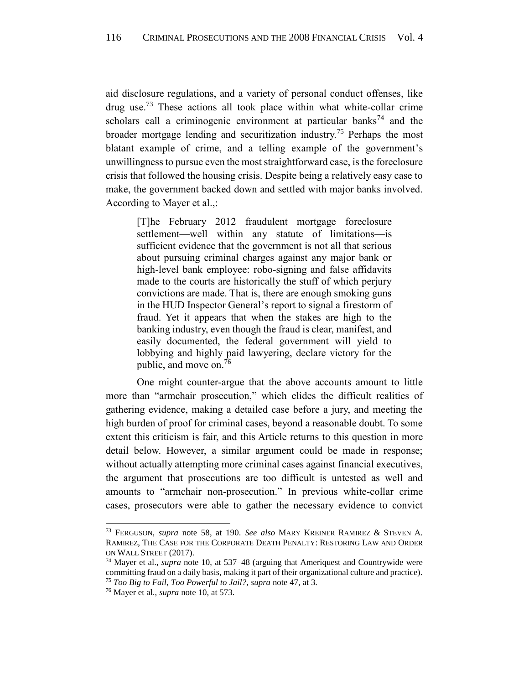aid disclosure regulations, and a variety of personal conduct offenses, like  $\frac{d}{dx}$  use.<sup>73</sup> These actions all took place within what white-collar crime scholars call a criminogenic environment at particular banks<sup>74</sup> and the broader mortgage lending and securitization industry.<sup>75</sup> Perhaps the most blatant example of crime, and a telling example of the government's unwillingness to pursue even the most straightforward case, is the foreclosure crisis that followed the housing crisis. Despite being a relatively easy case to make, the government backed down and settled with major banks involved. According to Mayer et al.,:

[T]he February 2012 fraudulent mortgage foreclosure settlement—well within any statute of limitations—is sufficient evidence that the government is not all that serious about pursuing criminal charges against any major bank or high-level bank employee: robo-signing and false affidavits made to the courts are historically the stuff of which perjury convictions are made. That is, there are enough smoking guns in the HUD Inspector General's report to signal a firestorm of fraud. Yet it appears that when the stakes are high to the banking industry, even though the fraud is clear, manifest, and easily documented, the federal government will yield to lobbying and highly paid lawyering, declare victory for the public, and move on.<sup>76</sup>

One might counter-argue that the above accounts amount to little more than "armchair prosecution," which elides the difficult realities of gathering evidence, making a detailed case before a jury, and meeting the high burden of proof for criminal cases, beyond a reasonable doubt. To some extent this criticism is fair, and this Article returns to this question in more detail below. However, a similar argument could be made in response; without actually attempting more criminal cases against financial executives, the argument that prosecutions are too difficult is untested as well and amounts to "armchair non-prosecution." In previous white-collar crime cases, prosecutors were able to gather the necessary evidence to convict

<sup>73</sup> FERGUSON, *supra* note 58, at 190. *See also* MARY KREINER RAMIREZ & STEVEN A. RAMIREZ, THE CASE FOR THE CORPORATE DEATH PENALTY: RESTORING LAW AND ORDER ON WALL STREET (2017).

<sup>74</sup> Mayer et al., *supra* note 10, at 537–48 (arguing that Ameriquest and Countrywide were committing fraud on a daily basis, making it part of their organizational culture and practice). <sup>75</sup> *Too Big to Fail*, *Too Powerful to Jail?, supra* note 47, at 3.

<sup>76</sup> Mayer et al., *supra* note 10, at 573.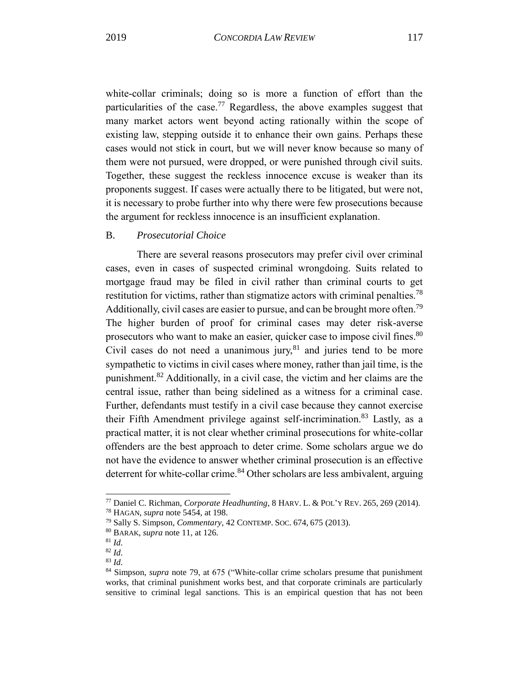<span id="page-17-2"></span>white-collar criminals; doing so is more a function of effort than the particularities of the case.<sup>77</sup> Regardless, the above examples suggest that many market actors went beyond acting rationally within the scope of existing law, stepping outside it to enhance their own gains. Perhaps these cases would not stick in court, but we will never know because so many of them were not pursued, were dropped, or were punished through civil suits. Together, these suggest the reckless innocence excuse is weaker than its proponents suggest. If cases were actually there to be litigated, but were not, it is necessary to probe further into why there were few prosecutions because the argument for reckless innocence is an insufficient explanation.

# <span id="page-17-0"></span>B. *Prosecutorial Choice*

<span id="page-17-1"></span>There are several reasons prosecutors may prefer civil over criminal cases, even in cases of suspected criminal wrongdoing. Suits related to mortgage fraud may be filed in civil rather than criminal courts to get restitution for victims, rather than stigmatize actors with criminal penalties.<sup>78</sup> Additionally, civil cases are easier to pursue, and can be brought more often.<sup>79</sup> The higher burden of proof for criminal cases may deter risk-averse prosecutors who want to make an easier, quicker case to impose civil fines.<sup>80</sup> Civil cases do not need a unanimous jury, $81$  and juries tend to be more sympathetic to victims in civil cases where money, rather than jail time, is the punishment.<sup>82</sup> Additionally, in a civil case, the victim and her claims are the central issue, rather than being sidelined as a witness for a criminal case. Further, defendants must testify in a civil case because they cannot exercise their Fifth Amendment privilege against self-incrimination.<sup>83</sup> Lastly, as a practical matter, it is not clear whether criminal prosecutions for white-collar offenders are the best approach to deter crime. Some scholars argue we do not have the evidence to answer whether criminal prosecution is an effective deterrent for white-collar crime.<sup>84</sup> Other scholars are less ambivalent, arguing

<sup>77</sup> Daniel C. Richman, *Corporate Headhunting*, 8 HARV. L. & POL'Y REV. 265, 269 (2014).

<sup>78</sup> HAGAN, *supra* note 5[454,](#page-13-0) at 198.

<sup>79</sup> Sally S. Simpson, *Commentary*, 42 CONTEMP. SOC. 674, 675 (2013).

<sup>80</sup> BARAK, *supra* note 11, at 126.

<sup>81</sup> *Id.*

<sup>82</sup> *Id.* <sup>83</sup> *Id.*

<sup>84</sup> Simpson, *supra* note [79,](#page-17-1) at 675 ("White-collar crime scholars presume that punishment works, that criminal punishment works best, and that corporate criminals are particularly sensitive to criminal legal sanctions. This is an empirical question that has not been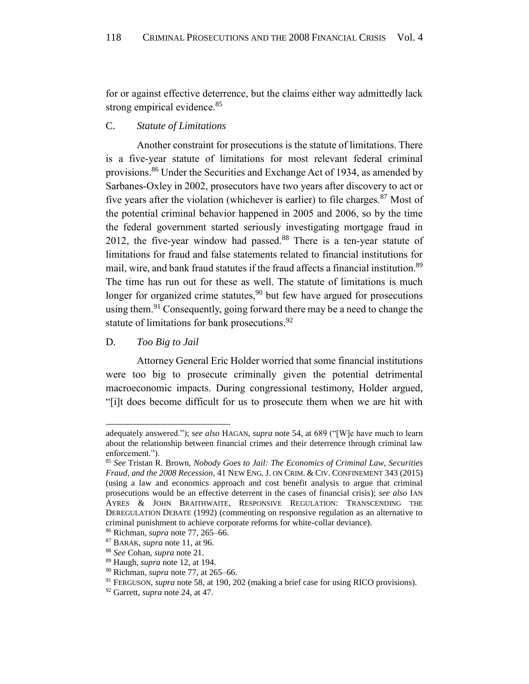for or against effective deterrence, but the claims either way admittedly lack strong empirical evidence.<sup>85</sup>

# <span id="page-18-0"></span>C. *Statute of Limitations*

Another constraint for prosecutions is the statute of limitations. There is a five-year statute of limitations for most relevant federal criminal provisions.<sup>86</sup> Under the Securities and Exchange Act of 1934, as amended by Sarbanes-Oxley in 2002, prosecutors have two years after discovery to act or five years after the violation (whichever is earlier) to file charges.<sup>87</sup> Most of the potential criminal behavior happened in 2005 and 2006, so by the time the federal government started seriously investigating mortgage fraud in 2012, the five-year window had passed. $88$  There is a ten-year statute of limitations for fraud and false statements related to financial institutions for mail, wire, and bank fraud statutes if the fraud affects a financial institution.<sup>89</sup> The time has run out for these as well. The statute of limitations is much longer for organized crime statutes, $90$  but few have argued for prosecutions using them.<sup>91</sup> Consequently, going forward there may be a need to change the statute of limitations for bank prosecutions.<sup>92</sup>

# <span id="page-18-1"></span>D. *Too Big to Jail*

l

Attorney General Eric Holder worried that some financial institutions were too big to prosecute criminally given the potential detrimental macroeconomic impacts. During congressional testimony, Holder argued, "[i]t does become difficult for us to prosecute them when we are hit with

adequately answered."); *see also* HAGAN, *supra* note 54, at 689 ("[W]e have much to learn about the relationship between financial crimes and their deterrence through criminal law enforcement.").

<sup>85</sup> *See* Tristan R. Brown, *Nobody Goes to Jail: The Economics of Criminal Law, Securities Fraud, and the 2008 Recession*, 41 NEW ENG. J. ON CRIM. & CIV. CONFINEMENT 343 (2015) (using a law and economics approach and cost benefit analysis to argue that criminal prosecutions would be an effective deterrent in the cases of financial crisis); *see also* IAN AYRES & JOHN BRAITHWAITE, RESPONSIVE REGULATION: TRANSCENDING THE DEREGULATION DEBATE (1992) (commenting on responsive regulation as an alternative to criminal punishment to achieve corporate reforms for white-collar deviance).

<sup>86</sup> Richman, *supra* note 77, 265–66.

<sup>87</sup> BARAK, *supra* note 11, at 96.

<sup>88</sup> *See* Cohan, *supra* note 21.

<sup>89</sup> Haugh, *supra* note 12, at 194.

<sup>90</sup> Richman, *supra* note 77, at 265–66.

<sup>91</sup> FERGUSON, *supra* note 58, at 190, 202 (making a brief case for using RICO provisions).

<sup>92</sup> Garrett, *supra* note 24, at 47.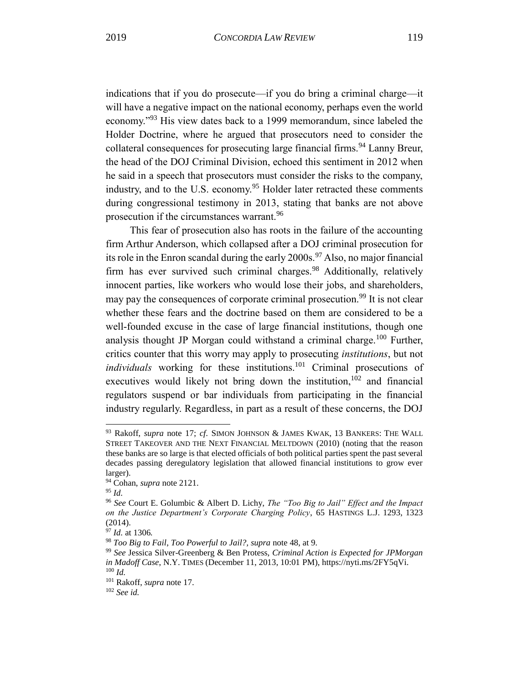indications that if you do prosecute—if you do bring a criminal charge—it will have a negative impact on the national economy, perhaps even the world economy."<sup>93</sup> His view dates back to a 1999 memorandum, since labeled the Holder Doctrine, where he argued that prosecutors need to consider the collateral consequences for prosecuting large financial firms.<sup>94</sup> Lanny Breur, the head of the DOJ Criminal Division, echoed this sentiment in 2012 when he said in a speech that prosecutors must consider the risks to the company, industry, and to the U.S. economy.<sup>95</sup> Holder later retracted these comments during congressional testimony in 2013, stating that banks are not above prosecution if the circumstances warrant.<sup>96</sup>

This fear of prosecution also has roots in the failure of the accounting firm Arthur Anderson, which collapsed after a DOJ criminal prosecution for its role in the Enron scandal during the early  $2000s$ .<sup>97</sup> Also, no major financial firm has ever survived such criminal charges.<sup>98</sup> Additionally, relatively innocent parties, like workers who would lose their jobs, and shareholders, may pay the consequences of corporate criminal prosecution.<sup>99</sup> It is not clear whether these fears and the doctrine based on them are considered to be a well-founded excuse in the case of large financial institutions, though one analysis thought JP Morgan could withstand a criminal charge.<sup>100</sup> Further, critics counter that this worry may apply to prosecuting *institutions*, but not *individuals* working for these institutions.<sup>101</sup> Criminal prosecutions of executives would likely not bring down the institution,  $102$  and financial regulators suspend or bar individuals from participating in the financial industry regularly. Regardless, in part as a result of these concerns, the DOJ

<sup>93</sup> Rakoff, *supra* note 17; *cf*. SIMON JOHNSON & JAMES KWAK, 13 BANKERS: THE WALL STREET TAKEOVER AND THE NEXT FINANCIAL MELTDOWN (2010) (noting that the reason these banks are so large is that elected officials of both political parties spent the past several decades passing deregulatory legislation that allowed financial institutions to grow ever larger).

<sup>94</sup> Cohan, *supra* note 2[121.](#page-6-1)

<sup>95</sup> *Id.*

<sup>96</sup> *See* Court E. Golumbic & Albert D. Lichy, *The "Too Big to Jail" Effect and the Impact on the Justice Department's Corporate Charging Policy*, 65 HASTINGS L.J. 1293, 1323 (2014).

<sup>97</sup> *Id.* at 1306*.*

<sup>98</sup> *Too Big to Fail*, *Too Powerful to Jail?, supra* note 48, at 9.

<sup>99</sup> *See* Jessica Silver-Greenberg & Ben Protess, *Criminal Action is Expected for JPMorgan in Madoff Case*, N.Y. TIMES (December 11, 2013, 10:01 PM), https://nyti.ms/2FY5qVi. <sup>100</sup> *Id.*

<sup>101</sup> Rakoff, *supra* note 17.

<sup>102</sup> *See id.*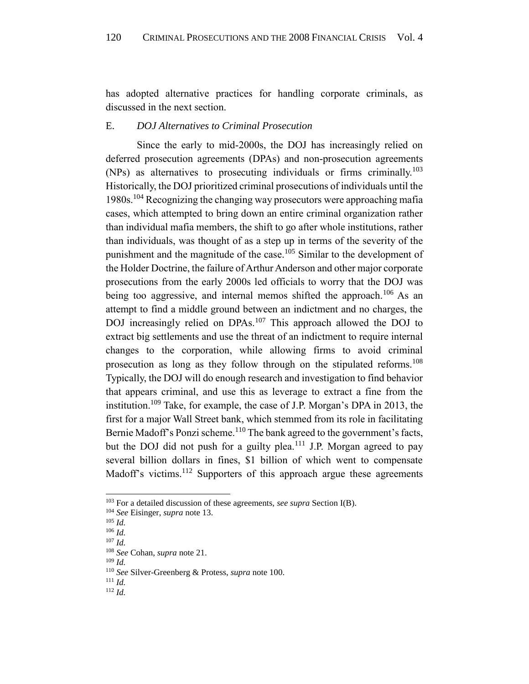has adopted alternative practices for handling corporate criminals, as discussed in the next section.

# <span id="page-20-0"></span>E. *DOJ Alternatives to Criminal Prosecution*

Since the early to mid-2000s, the DOJ has increasingly relied on deferred prosecution agreements (DPAs) and non-prosecution agreements (NPs) as alternatives to prosecuting individuals or firms criminally.<sup>103</sup> Historically, the DOJ prioritized criminal prosecutions of individuals until the 1980s.<sup>104</sup> Recognizing the changing way prosecutors were approaching mafia cases, which attempted to bring down an entire criminal organization rather than individual mafia members, the shift to go after whole institutions, rather than individuals, was thought of as a step up in terms of the severity of the punishment and the magnitude of the case.<sup>105</sup> Similar to the development of the Holder Doctrine, the failure of Arthur Anderson and other major corporate prosecutions from the early 2000s led officials to worry that the DOJ was being too aggressive, and internal memos shifted the approach.<sup>106</sup> As an attempt to find a middle ground between an indictment and no charges, the DOJ increasingly relied on DPAs.<sup>107</sup> This approach allowed the DOJ to extract big settlements and use the threat of an indictment to require internal changes to the corporation, while allowing firms to avoid criminal prosecution as long as they follow through on the stipulated reforms.<sup>108</sup> Typically, the DOJ will do enough research and investigation to find behavior that appears criminal, and use this as leverage to extract a fine from the institution.<sup>109</sup> Take, for example, the case of J.P. Morgan's DPA in 2013, the first for a major Wall Street bank, which stemmed from its role in facilitating Bernie Madoff's Ponzi scheme.<sup>110</sup> The bank agreed to the government's facts, but the DOJ did not push for a guilty plea.<sup>111</sup> J.P. Morgan agreed to pay several billion dollars in fines, \$1 billion of which went to compensate Madoff's victims.<sup>112</sup> Supporters of this approach argue these agreements

l

<sup>111</sup> *Id.*

<sup>103</sup> For a detailed discussion of these agreements, *see supra* Section I(B).

<sup>104</sup> *See* Eisinger, *supra* note 13.

<sup>105</sup> *Id.*

<sup>106</sup> *Id.* <sup>107</sup> *Id.*

<sup>108</sup> *See* Cohan, *supra* note 21.

<sup>109</sup> *Id.*

<sup>110</sup> *See* Silver-Greenberg & Protess, *supra* note 100.

<sup>112</sup> *Id.*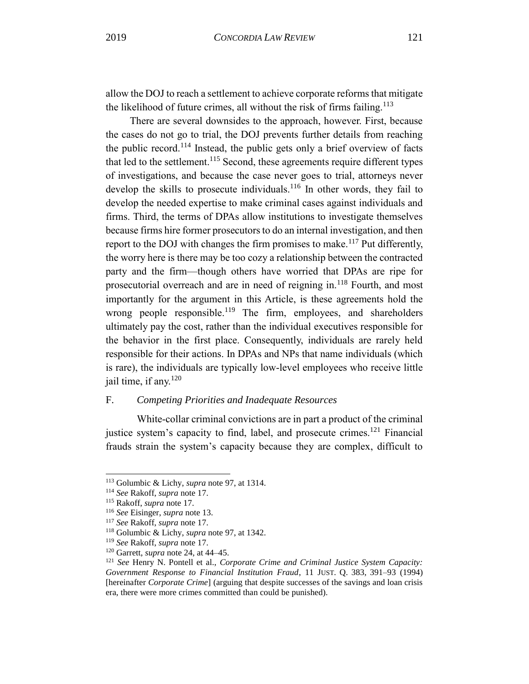allow the DOJ to reach a settlement to achieve corporate reforms that mitigate the likelihood of future crimes, all without the risk of firms failing.<sup>113</sup>

There are several downsides to the approach, however. First, because the cases do not go to trial, the DOJ prevents further details from reaching the public record.<sup>114</sup> Instead, the public gets only a brief overview of facts that led to the settlement.<sup>115</sup> Second, these agreements require different types of investigations, and because the case never goes to trial, attorneys never develop the skills to prosecute individuals.<sup>116</sup> In other words, they fail to develop the needed expertise to make criminal cases against individuals and firms. Third, the terms of DPAs allow institutions to investigate themselves because firms hire former prosecutors to do an internal investigation, and then report to the DOJ with changes the firm promises to make.<sup>117</sup> Put differently, the worry here is there may be too cozy a relationship between the contracted party and the firm—though others have worried that DPAs are ripe for prosecutorial overreach and are in need of reigning in.<sup>118</sup> Fourth, and most importantly for the argument in this Article, is these agreements hold the wrong people responsible.<sup>119</sup> The firm, employees, and shareholders ultimately pay the cost, rather than the individual executives responsible for the behavior in the first place. Consequently, individuals are rarely held responsible for their actions. In DPAs and NPs that name individuals (which is rare), the individuals are typically low-level employees who receive little jail time, if any. $120$ 

# <span id="page-21-0"></span>F. *Competing Priorities and Inadequate Resources*

White-collar criminal convictions are in part a product of the criminal justice system's capacity to find, label, and prosecute crimes.<sup>121</sup> Financial frauds strain the system's capacity because they are complex, difficult to

<sup>113</sup> Golumbic & Lichy, *supra* note 97, at 1314.

<sup>114</sup> *See* Rakoff, *supra* note 17.

<sup>115</sup> Rakoff, *supra* note 17.

<sup>116</sup> *See* Eisinger, *supra* note 13.

<sup>117</sup> *See* Rakoff, *supra* note 17.

<sup>118</sup> Golumbic & Lichy, *supra* note 97, at 1342.

<sup>119</sup> *See* Rakoff, *supra* note 17.

<sup>120</sup> Garrett, *supra* note 24, at 44–45.

<sup>121</sup> *See* Henry N. Pontell et al., *Corporate Crime and Criminal Justice System Capacity: Government Response to Financial Institution Fraud*, 11 JUST. Q. 383, 391–93 (1994) [hereinafter *Corporate Crime*] (arguing that despite successes of the savings and loan crisis era, there were more crimes committed than could be punished).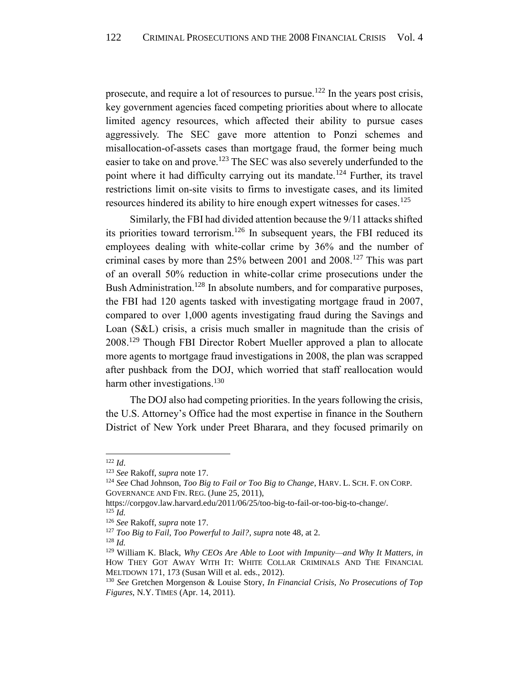prosecute, and require a lot of resources to pursue.<sup>122</sup> In the years post crisis, key government agencies faced competing priorities about where to allocate limited agency resources, which affected their ability to pursue cases aggressively. The SEC gave more attention to Ponzi schemes and misallocation-of-assets cases than mortgage fraud, the former being much easier to take on and prove.<sup>123</sup> The SEC was also severely underfunded to the point where it had difficulty carrying out its mandate.<sup>124</sup> Further, its travel restrictions limit on-site visits to firms to investigate cases, and its limited resources hindered its ability to hire enough expert witnesses for cases.<sup>125</sup>

Similarly, the FBI had divided attention because the 9/11 attacks shifted its priorities toward terrorism.<sup>126</sup> In subsequent years, the FBI reduced its employees dealing with white-collar crime by 36% and the number of criminal cases by more than 25% between 2001 and 2008.<sup>127</sup> This was part of an overall 50% reduction in white-collar crime prosecutions under the Bush Administration.<sup>128</sup> In absolute numbers, and for comparative purposes, the FBI had 120 agents tasked with investigating mortgage fraud in 2007, compared to over 1,000 agents investigating fraud during the Savings and Loan (S&L) crisis, a crisis much smaller in magnitude than the crisis of 2008.<sup>129</sup> Though FBI Director Robert Mueller approved a plan to allocate more agents to mortgage fraud investigations in 2008, the plan was scrapped after pushback from the DOJ, which worried that staff reallocation would harm other investigations.<sup>130</sup>

The DOJ also had competing priorities. In the years following the crisis, the U.S. Attorney's Office had the most expertise in finance in the Southern District of New York under Preet Bharara, and they focused primarily on

<sup>122</sup> *Id*.

<sup>123</sup> *See* Rakoff, *supra* note 17.

<sup>124</sup> *See* Chad Johnson, *Too Big to Fail or Too Big to Change*, HARV. L. SCH. F. ON CORP. GOVERNANCE AND FIN. REG. (June 25, 2011),

[https://corpgov.law.harvard.edu/2011/06/25/too-big-to-fail-or-too-big-to-change/.](https://corpgov.law.harvard.edu/2011/06/25/too-big-to-fail-or-too-big-to-change/) <sup>125</sup> *Id.*

<sup>126</sup> *See* Rakoff, *supra* note 17.

<sup>127</sup> *Too Big to Fail, Too Powerful to Jail?*, *supra* note 48, at 2.

<sup>128</sup> *Id.*

<sup>129</sup> William K. Black, *Why CEOs Are Able to Loot with Impunity—and Why It Matters*, *in*  HOW THEY GOT AWAY WITH IT: WHITE COLLAR CRIMINALS AND THE FINANCIAL MELTDOWN 171, 173 (Susan Will et al. eds., 2012).

<sup>130</sup> *See* Gretchen Morgenson & Louise Story, *In Financial Crisis, No Prosecutions of Top Figures*, N.Y. TIMES (Apr. 14, 2011).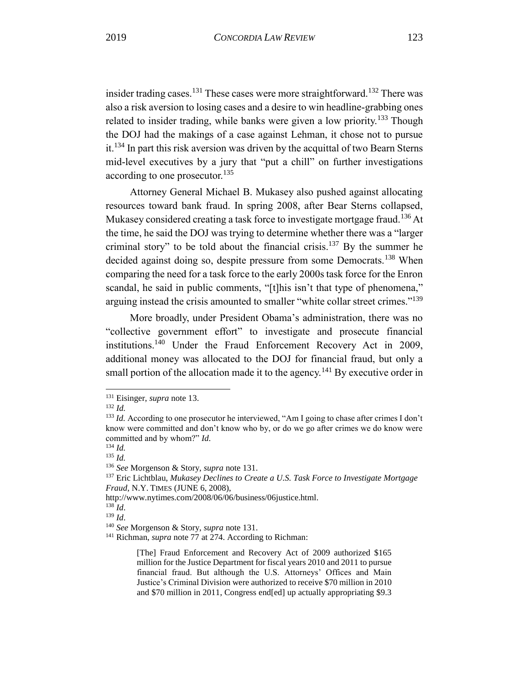<span id="page-23-0"></span>insider trading cases.<sup>131</sup> These cases were more straightforward.<sup>132</sup> There was also a risk aversion to losing cases and a desire to win headline-grabbing ones related to insider trading, while banks were given a low priority.<sup>133</sup> Though the DOJ had the makings of a case against Lehman, it chose not to pursue it.<sup>134</sup> In part this risk aversion was driven by the acquittal of two Bearn Sterns mid-level executives by a jury that "put a chill" on further investigations according to one prosecutor.<sup>135</sup>

Attorney General Michael B. Mukasey also pushed against allocating resources toward bank fraud. In spring 2008, after Bear Sterns collapsed, Mukasey considered creating a task force to investigate mortgage fraud.<sup>136</sup> At the time, he said the DOJ was trying to determine whether there was a "larger criminal story" to be told about the financial crisis.<sup>137</sup> By the summer he decided against doing so, despite pressure from some Democrats.<sup>138</sup> When comparing the need for a task force to the early 2000s task force for the Enron scandal, he said in public comments, "[t]his isn't that type of phenomena," arguing instead the crisis amounted to smaller "white collar street crimes."<sup>139</sup>

More broadly, under President Obama's administration, there was no "collective government effort" to investigate and prosecute financial institutions.<sup>140</sup> Under the Fraud Enforcement Recovery Act in 2009, additional money was allocated to the DOJ for financial fraud, but only a small portion of the allocation made it to the agency.<sup>141</sup> By executive order in

<sup>132</sup> *Id.*

<sup>131</sup> Eisinger, *supra* note 13.

<sup>&</sup>lt;sup>133</sup> *Id.* According to one prosecutor he interviewed, "Am I going to chase after crimes I don't know were committed and don't know who by, or do we go after crimes we do know were committed and by whom?" *Id.*

<sup>134</sup> *Id.*

<sup>135</sup> *Id.*

<sup>136</sup> *See* Morgenson & Story, *supra* note 131.

<sup>137</sup> Eric Lichtblau, *Mukasey Declines to Create a U.S. Task Force to Investigate Mortgage Fraud*, N.Y. TIMES (JUNE 6, 2008),

http://www.nytimes.com/2008/06/06/business/06justice.html.

<sup>138</sup> *Id*.

<sup>139</sup> *Id*.

<sup>140</sup> *See* Morgenson & Story, *supra* note 131.

<sup>&</sup>lt;sup>141</sup> Richman, *supra* note 77 at 274. According to Richman:

<sup>[</sup>The] Fraud Enforcement and Recovery Act of 2009 authorized \$165 million for the Justice Department for fiscal years 2010 and 2011 to pursue financial fraud. But although the U.S. Attorneys' Offices and Main Justice's Criminal Division were authorized to receive \$70 million in 2010 and \$70 million in 2011, Congress end[ed] up actually appropriating \$9.3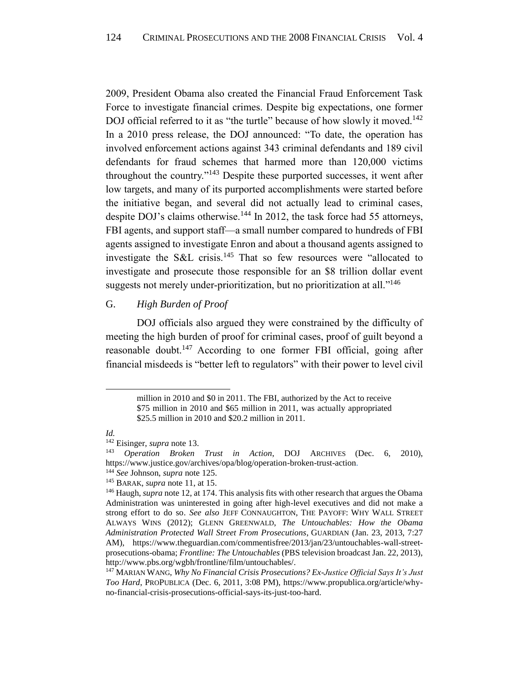2009, President Obama also created the Financial Fraud Enforcement Task Force to investigate financial crimes. Despite big expectations, one former DOJ official referred to it as "the turtle" because of how slowly it moved.<sup>142</sup> In a 2010 press release, the DOJ announced: "To date, the operation has involved enforcement actions against 343 criminal defendants and 189 civil defendants for fraud schemes that harmed more than 120,000 victims throughout the country."<sup>143</sup> Despite these purported successes, it went after low targets, and many of its purported accomplishments were started before the initiative began, and several did not actually lead to criminal cases, despite DOJ's claims otherwise.<sup>144</sup> In 2012, the task force had 55 attorneys, FBI agents, and support staff—a small number compared to hundreds of FBI agents assigned to investigate Enron and about a thousand agents assigned to investigate the S&L crisis.<sup>145</sup> That so few resources were "allocated to investigate and prosecute those responsible for an \$8 trillion dollar event suggests not merely under-prioritization, but no prioritization at all."<sup>146</sup>

# <span id="page-24-0"></span>G. *High Burden of Proof*

DOJ officials also argued they were constrained by the difficulty of meeting the high burden of proof for criminal cases, proof of guilt beyond a reasonable doubt.<sup>147</sup> According to one former FBI official, going after financial misdeeds is "better left to regulators" with their power to level civil

l

<sup>144</sup> *See* Johnson, *supra* note 125.

million in 2010 and \$0 in 2011. The FBI, authorized by the Act to receive \$75 million in 2010 and \$65 million in 2011, was actually appropriated \$25.5 million in 2010 and \$20.2 million in 2011.

*Id.*

<sup>&</sup>lt;sup>142</sup> Eisinger, *supra* note 13.<br><sup>143</sup> Operation Broken

<sup>143</sup> *Operation Broken Trust in Action*, DOJ ARCHIVES (Dec. 6, 2010), [https://www.justice.gov/archives/opa/blog/operation-broken-trust-action.](https://www.justice.gov/archives/opa/blog/operation-broken-trust-action)

<sup>145</sup> BARAK, *supra* note 11, at 15.

<sup>146</sup> Haugh, *supra* note 12, at 174. This analysis fits with other research that argues the Obama Administration was uninterested in going after high-level executives and did not make a strong effort to do so. *See also* JEFF CONNAUGHTON, THE PAYOFF: WHY WALL STREET ALWAYS WINS (2012); GLENN GREENWALD, *The Untouchables: How the Obama Administration Protected Wall Street From Prosecutions*, GUARDIAN (Jan. 23, 2013, 7:27 AM), [https://www.theguardian.com/commentisfree/2013/jan/23/untouchables-wall-street](https://www.theguardian.com/commentisfree/2013/jan/23/untouchables-wall-street-prosecutions-obama)[prosecutions-obama;](https://www.theguardian.com/commentisfree/2013/jan/23/untouchables-wall-street-prosecutions-obama) *Frontline: The Untouchables* (PBS television broadcast Jan. 22, 2013), [http://www.pbs.org/wgbh/frontline/film/untouchables/.](http://www.pbs.org/wgbh/frontline/film/untouchables/)

<sup>147</sup> MARIAN WANG, *Why No Financial Crisis Prosecutions? Ex-Justice Official Says It's Just Too Hard*, PROPUBLICA (Dec. 6, 2011, 3:08 PM), [https://www.propublica.org/article/why](https://www.propublica.org/article/why-no-financial-crisis-prosecutions-official-says-its-just-too-hard)[no-financial-crisis-prosecutions-official-says-its-just-too-hard.](https://www.propublica.org/article/why-no-financial-crisis-prosecutions-official-says-its-just-too-hard)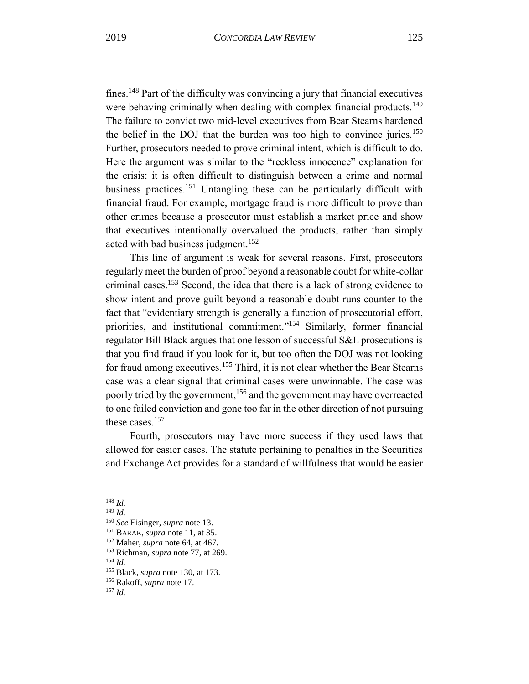fines.<sup>148</sup> Part of the difficulty was convincing a jury that financial executives were behaving criminally when dealing with complex financial products.<sup>149</sup> The failure to convict two mid-level executives from Bear Stearns hardened the belief in the DOJ that the burden was too high to convince juries.<sup>150</sup> Further, prosecutors needed to prove criminal intent, which is difficult to do. Here the argument was similar to the "reckless innocence" explanation for the crisis: it is often difficult to distinguish between a crime and normal business practices.<sup>151</sup> Untangling these can be particularly difficult with financial fraud. For example, mortgage fraud is more difficult to prove than other crimes because a prosecutor must establish a market price and show that executives intentionally overvalued the products, rather than simply acted with bad business judgment.<sup>152</sup>

This line of argument is weak for several reasons. First, prosecutors regularly meet the burden of proof beyond a reasonable doubt for white-collar criminal cases.<sup>153</sup> Second, the idea that there is a lack of strong evidence to show intent and prove guilt beyond a reasonable doubt runs counter to the fact that "evidentiary strength is generally a function of prosecutorial effort, priorities, and institutional commitment."<sup>154</sup> Similarly, former financial regulator Bill Black argues that one lesson of successful S&L prosecutions is that you find fraud if you look for it, but too often the DOJ was not looking for fraud among executives.<sup>155</sup> Third, it is not clear whether the Bear Stearns case was a clear signal that criminal cases were unwinnable. The case was poorly tried by the government,<sup>156</sup> and the government may have overreacted to one failed conviction and gone too far in the other direction of not pursuing these cases.<sup>157</sup>

Fourth, prosecutors may have more success if they used laws that allowed for easier cases. The statute pertaining to penalties in the Securities and Exchange Act provides for a standard of willfulness that would be easier

<sup>148</sup> *Id.*

<sup>149</sup> *Id.*

<sup>150</sup> *See* Eisinger, *supra* note [13.](#page-5-0)

<sup>151</sup> BARAK, *supra* note 11, at 35.

<sup>152</sup> Maher, *supra* note 64, at 467.

<sup>153</sup> Richman, *supra* note 77, at 269.

<sup>154</sup> *Id.*

<sup>155</sup> Black, *supra* note 130, at 173.

<sup>156</sup> Rakoff, *supra* note 17.

<sup>157</sup> *Id.*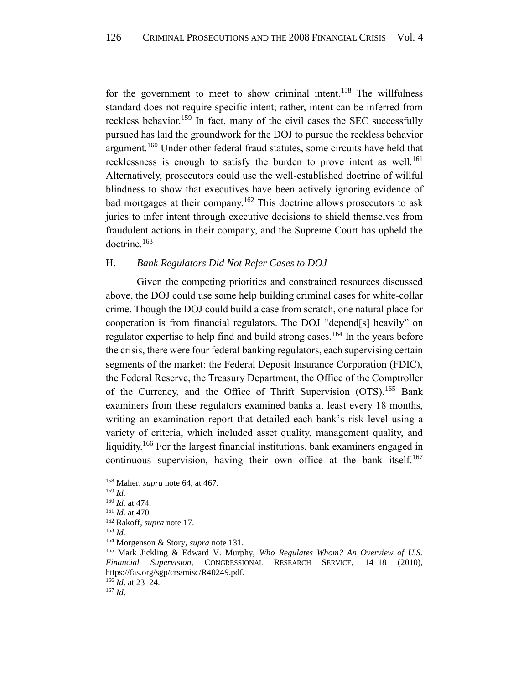for the government to meet to show criminal intent.<sup>158</sup> The willfulness standard does not require specific intent; rather, intent can be inferred from reckless behavior.<sup>159</sup> In fact, many of the civil cases the SEC successfully pursued has laid the groundwork for the DOJ to pursue the reckless behavior argument.<sup>160</sup> Under other federal fraud statutes, some circuits have held that recklessness is enough to satisfy the burden to prove intent as well.<sup>161</sup> Alternatively, prosecutors could use the well-established doctrine of willful blindness to show that executives have been actively ignoring evidence of bad mortgages at their company.<sup>162</sup> This doctrine allows prosecutors to ask juries to infer intent through executive decisions to shield themselves from fraudulent actions in their company, and the Supreme Court has upheld the doctrine.<sup>163</sup>

# <span id="page-26-0"></span>H. *Bank Regulators Did Not Refer Cases to DOJ*

Given the competing priorities and constrained resources discussed above, the DOJ could use some help building criminal cases for white-collar crime. Though the DOJ could build a case from scratch, one natural place for cooperation is from financial regulators. The DOJ "depend[s] heavily" on regulator expertise to help find and build strong cases.<sup>164</sup> In the years before the crisis, there were four federal banking regulators, each supervising certain segments of the market: the Federal Deposit Insurance Corporation (FDIC), the Federal Reserve, the Treasury Department, the Office of the Comptroller of the Currency, and the Office of Thrift Supervision (OTS).<sup>165</sup> Bank examiners from these regulators examined banks at least every 18 months, writing an examination report that detailed each bank's risk level using a variety of criteria, which included asset quality, management quality, and liquidity.<sup>166</sup> For the largest financial institutions, bank examiners engaged in continuous supervision, having their own office at the bank itself.<sup>167</sup>

l

<sup>167</sup> *Id*.

<sup>158</sup> Maher, *supra* note 64, at 467.

<sup>159</sup> *Id.*

<sup>160</sup> *Id.* at 474*.*

<sup>161</sup> *Id.* at 470*.*

<sup>162</sup> Rakoff, *supra* note 17.

<sup>163</sup> *Id.*

<sup>164</sup> Morgenson & Story, *supra* note 131.

<sup>165</sup> Mark Jickling & Edward V. Murphy, *Who Regulates Whom? An Overview of U.S. Financial Supervision*, CONGRESSIONAL RESEARCH SERVICE, 14–18 (2010), https://fas.org/sgp/crs/misc/R40249.pdf. <sup>166</sup> *Id*. at 23–24.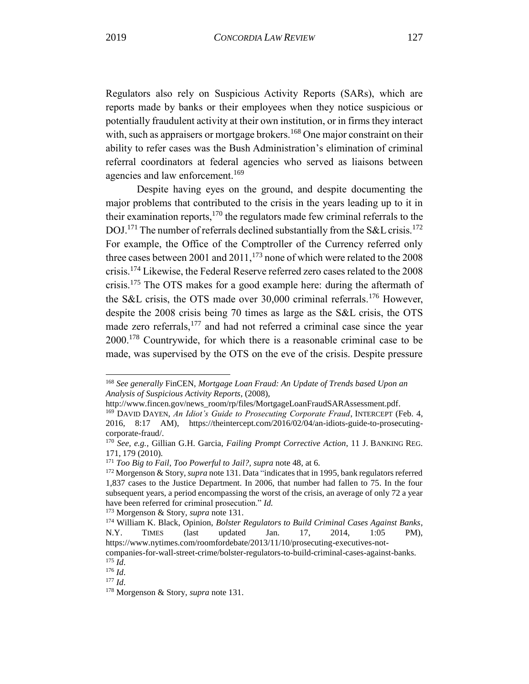Regulators also rely on Suspicious Activity Reports (SARs), which are reports made by banks or their employees when they notice suspicious or potentially fraudulent activity at their own institution, or in firms they interact with, such as appraisers or mortgage brokers.<sup>168</sup> One major constraint on their ability to refer cases was the Bush Administration's elimination of criminal referral coordinators at federal agencies who served as liaisons between agencies and law enforcement.<sup>169</sup>

Despite having eyes on the ground, and despite documenting the major problems that contributed to the crisis in the years leading up to it in their examination reports,  $170$  the regulators made few criminal referrals to the DOJ.<sup>171</sup> The number of referrals declined substantially from the S&L crisis.<sup>172</sup> For example, the Office of the Comptroller of the Currency referred only three cases between 2001 and  $2011$ ,  $^{173}$  none of which were related to the 2008 crisis.<sup>174</sup> Likewise, the Federal Reserve referred zero cases related to the 2008 crisis.<sup>175</sup> The OTS makes for a good example here: during the aftermath of the S&L crisis, the OTS made over 30,000 criminal referrals.<sup>176</sup> However, despite the 2008 crisis being 70 times as large as the S&L crisis, the OTS made zero referrals,<sup>177</sup> and had not referred a criminal case since the year 2000.<sup>178</sup> Countrywide, for which there is a reasonable criminal case to be made, was supervised by the OTS on the eve of the crisis. Despite pressure

<sup>168</sup> *See generally* FinCEN, *Mortgage Loan Fraud: An Update of Trends based Upon an Analysis of Suspicious Activity Reports*, (2008),

[http://www.fincen.gov/news\\_room/rp/files/MortgageLoanFraudSARAssessment.pdf.](http://www.fincen.gov/news_room/rp/files/MortgageLoanFraudSARAssessment.pdf)

<sup>&</sup>lt;sup>169</sup> DAVID DAYEN, *An Idiot's Guide to Prosecuting Corporate Fraud*, INTERCEPT (Feb. 4, 2016, 8:17 AM), [https://theintercept.com/2016/02/04/an-idiots-guide-to-prosecuting](https://theintercept.com/2016/02/04/an-idiots-guide-to-prosecuting-corporate-fraud/)[corporate-fraud/.](https://theintercept.com/2016/02/04/an-idiots-guide-to-prosecuting-corporate-fraud/)

<sup>170</sup> *See, e.g.,* Gillian G.H. Garcia, *Failing Prompt Corrective Action*, 11 J. BANKING REG. 171, 179 (2010).

<sup>171</sup> *Too Big to Fail*, *Too Powerful to Jail?, supra* note 48, at 6.

<sup>172</sup> Morgenson & Story, *supra* note 131. Data "indicates that in 1995, bank regulators referred 1,837 cases to the Justice Department. In 2006, that number had fallen to 75. In the four subsequent years, a period encompassing the worst of the crisis, an average of only 72 a year have been referred for criminal prosecution." *Id.*

<sup>173</sup> Morgenson & Story, *supra* note 131.

<sup>174</sup> William K. Black, Opinion, *Bolster Regulators to Build Criminal Cases Against Banks*, N.Y. TIMES (last updated Jan. 17, 2014, 1:05 PM), [https://www.nytimes.com/roomfordebate/2013/11/10/prosecuting-executives-not-](https://www.nytimes.com/roomfordebate/2013/11/10/prosecuting-executives-not-companies-for-wall-street-crime/bolster-regulators-to-build-criminal-cases-against-banks)

[companies-for-wall-street-crime/bolster-regulators-to-build-criminal-cases-against-banks.](https://www.nytimes.com/roomfordebate/2013/11/10/prosecuting-executives-not-companies-for-wall-street-crime/bolster-regulators-to-build-criminal-cases-against-banks) <sup>175</sup> *Id*.

<sup>176</sup> *Id*.

<sup>177</sup> *Id*.

<sup>178</sup> Morgenson & Story, *supra* note 131.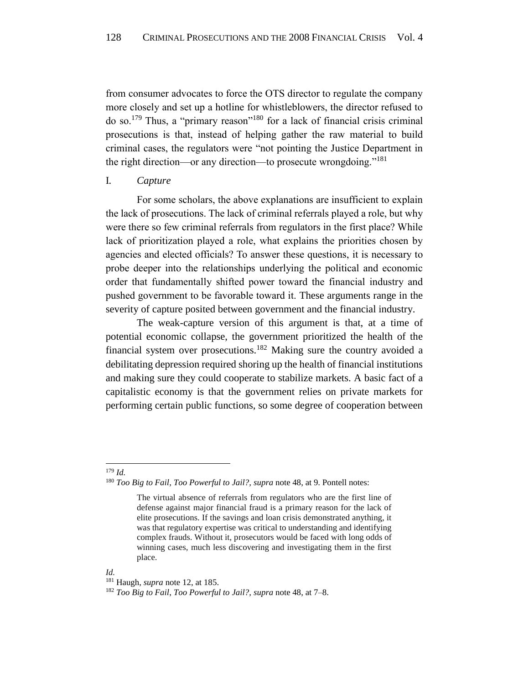from consumer advocates to force the OTS director to regulate the company more closely and set up a hotline for whistleblowers, the director refused to do so.<sup>179</sup> Thus, a "primary reason"<sup>180</sup> for a lack of financial crisis criminal prosecutions is that, instead of helping gather the raw material to build criminal cases, the regulators were "not pointing the Justice Department in the right direction—or any direction—to prosecute wrongdoing."<sup>181</sup>

#### <span id="page-28-0"></span>I*. Capture*

For some scholars, the above explanations are insufficient to explain the lack of prosecutions. The lack of criminal referrals played a role, but why were there so few criminal referrals from regulators in the first place? While lack of prioritization played a role, what explains the priorities chosen by agencies and elected officials? To answer these questions, it is necessary to probe deeper into the relationships underlying the political and economic order that fundamentally shifted power toward the financial industry and pushed government to be favorable toward it. These arguments range in the severity of capture posited between government and the financial industry.

The weak-capture version of this argument is that, at a time of potential economic collapse, the government prioritized the health of the financial system over prosecutions.<sup>182</sup> Making sure the country avoided a debilitating depression required shoring up the health of financial institutions and making sure they could cooperate to stabilize markets. A basic fact of a capitalistic economy is that the government relies on private markets for performing certain public functions, so some degree of cooperation between

#### <sup>179</sup> *Id.*

l

#### *Id.*

<sup>180</sup> *Too Big to Fail, Too Powerful to Jail?, supra* note 48, at 9. Pontell notes:

The virtual absence of referrals from regulators who are the first line of defense against major financial fraud is a primary reason for the lack of elite prosecutions. If the savings and loan crisis demonstrated anything, it was that regulatory expertise was critical to understanding and identifying complex frauds. Without it, prosecutors would be faced with long odds of winning cases, much less discovering and investigating them in the first place.

<sup>181</sup> Haugh, *supra* note 12, at 185.

<sup>182</sup> *Too Big to Fail*, *Too Powerful to Jail?, supra* note 48, at 7–8.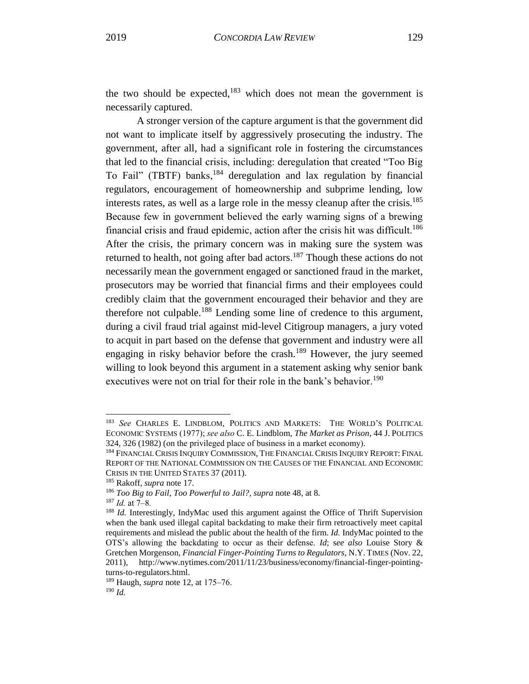the two should be expected,  $183$  which does not mean the government is necessarily captured.

A stronger version of the capture argument is that the government did not want to implicate itself by aggressively prosecuting the industry. The government, after all, had a significant role in fostering the circumstances that led to the financial crisis, including: deregulation that created "Too Big To Fail" (TBTF) banks,<sup>184</sup> deregulation and lax regulation by financial regulators, encouragement of homeownership and subprime lending, low interests rates, as well as a large role in the messy cleanup after the crisis.<sup>185</sup> Because few in government believed the early warning signs of a brewing financial crisis and fraud epidemic, action after the crisis hit was difficult.<sup>186</sup> After the crisis, the primary concern was in making sure the system was returned to health, not going after bad actors.<sup>187</sup> Though these actions do not necessarily mean the government engaged or sanctioned fraud in the market, prosecutors may be worried that financial firms and their employees could credibly claim that the government encouraged their behavior and they are therefore not culpable.<sup>188</sup> Lending some line of credence to this argument, during a civil fraud trial against mid-level Citigroup managers, a jury voted to acquit in part based on the defense that government and industry were all engaging in risky behavior before the crash.<sup>189</sup> However, the jury seemed willing to look beyond this argument in a statement asking why senior bank executives were not on trial for their role in the bank's behavior.<sup>190</sup>

<sup>183</sup> *See* CHARLES E. LINDBLOM, POLITICS AND MARKETS: THE WORLD'S POLITICAL ECONOMIC SYSTEMS (1977); *see also* C. E. Lindblom, *The Market as Prison*, 44 J. POLITICS 324, 326 (1982) (on the privileged place of business in a market economy).

<sup>&</sup>lt;sup>184</sup> FINANCIAL CRISIS INQUIRY COMMISSION, THE FINANCIAL CRISIS INQUIRY REPORT: FINAL REPORT OF THE NATIONAL COMMISSION ON THE CAUSES OF THE FINANCIAL AND ECONOMIC CRISIS IN THE UNITED STATES 37 (2011).

<sup>185</sup> Rakoff, *supra* note 17.

<sup>186</sup> *Too Big to Fail*, *Too Powerful to Jail?, supra* note 48, at 8.

<sup>187</sup> *Id.* at 7–8*.*

<sup>188</sup> *Id.* Interestingly, IndyMac used this argument against the Office of Thrift Supervision when the bank used illegal capital backdating to make their firm retroactively meet capital requirements and mislead the public about the health of the firm. *Id.* IndyMac pointed to the OTS's allowing the backdating to occur as their defense. *Id*; s*ee also* Louise Story & Gretchen Morgenson, *Financial Finger-Pointing Turns to Regulators*, N.Y. TIMES (Nov. 22, 2011), [http://www.nytimes.com/2011/11/23/business/economy/financial-finger-pointing](http://www.nytimes.com/2011/11/23/business/economy/financial-finger-pointing-turns-to-regulators.html)[turns-to-regulators.html.](http://www.nytimes.com/2011/11/23/business/economy/financial-finger-pointing-turns-to-regulators.html)

<sup>189</sup> Haugh, *supra* note 12, at 175–76.

<sup>190</sup> *Id.*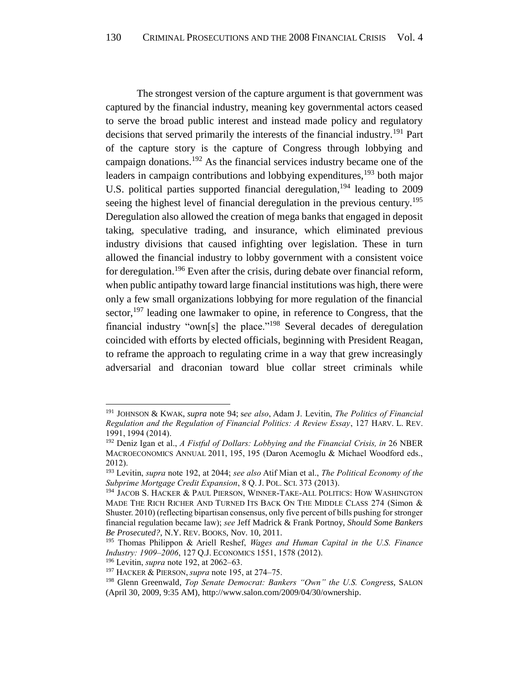The strongest version of the capture argument is that government was captured by the financial industry, meaning key governmental actors ceased to serve the broad public interest and instead made policy and regulatory decisions that served primarily the interests of the financial industry.<sup>191</sup> Part of the capture story is the capture of Congress through lobbying and campaign donations.<sup>192</sup> As the financial services industry became one of the leaders in campaign contributions and lobbying expenditures,  $193$  both major U.S. political parties supported financial deregulation, <sup>194</sup> leading to 2009 seeing the highest level of financial deregulation in the previous century.<sup>195</sup> Deregulation also allowed the creation of mega banks that engaged in deposit taking, speculative trading, and insurance, which eliminated previous industry divisions that caused infighting over legislation. These in turn allowed the financial industry to lobby government with a consistent voice for deregulation.<sup>196</sup> Even after the crisis, during debate over financial reform, when public antipathy toward large financial institutions was high, there were only a few small organizations lobbying for more regulation of the financial sector,<sup>197</sup> leading one lawmaker to opine, in reference to Congress, that the financial industry "own[s] the place."<sup>198</sup> Several decades of deregulation coincided with efforts by elected officials, beginning with President Reagan, to reframe the approach to regulating crime in a way that grew increasingly adversarial and draconian toward blue collar street criminals while

<sup>191</sup> JOHNSON & KWAK, *supra* note 94; s*ee also*, Adam J. Levitin, *The Politics of Financial Regulation and the Regulation of Financial Politics: A Review Essay*, 127 HARV. L. REV. 1991, 1994 (2014).

<sup>192</sup> Deniz Igan et al., *A Fistful of Dollars: Lobbying and the Financial Crisis, in* 26 NBER MACROECONOMICS ANNUAL 2011, 195, 195 (Daron Acemoglu & Michael Woodford eds., 2012).

<sup>193</sup> Levitin, *supra* note 192, at 2044; *see also* Atif Mian et al., *The Political Economy of the Subprime Mortgage Credit Expansion*, 8 Q. J. POL. SCI. 373 (2013).

<sup>&</sup>lt;sup>194</sup> JACOB S. HACKER & PAUL PIERSON, WINNER-TAKE-ALL POLITICS: HOW WASHINGTON MADE THE RICH RICHER AND TURNED ITS BACK ON THE MIDDLE CLASS 274 (Simon & Shuster. 2010) (reflecting bipartisan consensus, only five percent of bills pushing for stronger financial regulation became law); *see* Jeff Madrick & Frank Portnoy, *Should Some Bankers Be Prosecuted?*, N.Y. REV. BOOKS, Nov. 10, 2011.

<sup>195</sup> Thomas Philippon & Ariell Reshef, *Wages and Human Capital in the U.S. Finance Industry: 1909–2006*, 127 Q.J. ECONOMICS 1551, 1578 (2012).

<sup>196</sup> Levitin, *supra* note 192, at 2062–63.

<sup>197</sup> HACKER & PIERSON, *supra* note 195, at 274–75.

<sup>198</sup> Glenn Greenwald, *Top Senate Democrat: Bankers "Own" the U.S. Congress*, SALON (April 30, 2009, 9:35 AM), [http://www.salon.com/2009/04/30/ownership.](http://www.salon.com/2009/04/30/ownership)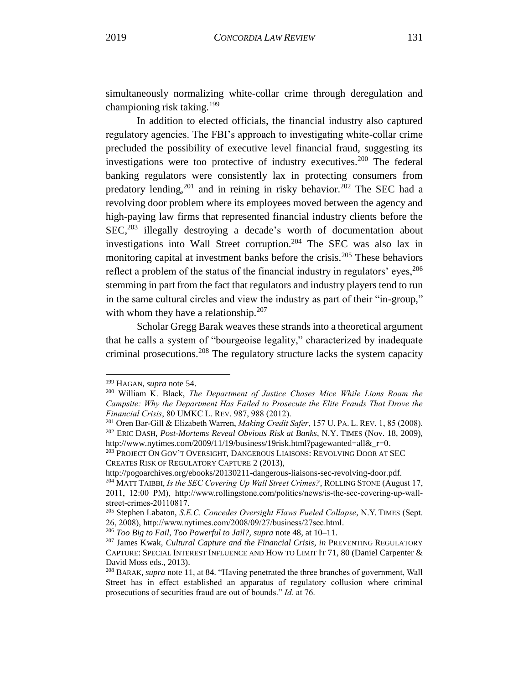simultaneously normalizing white-collar crime through deregulation and championing risk taking.<sup>199</sup>

In addition to elected officials, the financial industry also captured regulatory agencies. The FBI's approach to investigating white-collar crime precluded the possibility of executive level financial fraud, suggesting its investigations were too protective of industry executives.<sup>200</sup> The federal banking regulators were consistently lax in protecting consumers from predatory lending,  $201$  and in reining in risky behavior.  $202$  The SEC had a revolving door problem where its employees moved between the agency and high-paying law firms that represented financial industry clients before the SEC,<sup>203</sup> illegally destroying a decade's worth of documentation about investigations into Wall Street corruption.<sup>204</sup> The SEC was also lax in monitoring capital at investment banks before the crisis.<sup>205</sup> These behaviors reflect a problem of the status of the financial industry in regulators' eyes,  $206$ stemming in part from the fact that regulators and industry players tend to run in the same cultural circles and view the industry as part of their "in-group," with whom they have a relationship. $207$ 

Scholar Gregg Barak weaves these strands into a theoretical argument that he calls a system of "bourgeoise legality," characterized by inadequate criminal prosecutions.<sup>208</sup> The regulatory structure lacks the system capacity

<sup>199</sup> HAGAN, *supra* note 54.

<sup>200</sup> William K. Black, *The Department of Justice Chases Mice While Lions Roam the Campsite: Why the Department Has Failed to Prosecute the Elite Frauds That Drove the Financial Crisis*, 80 UMKC L. REV. 987, 988 (2012).

<sup>201</sup> Oren Bar-Gill & Elizabeth Warren, *Making Credit Safer*, 157 U. PA. L. REV. 1, 85 (2008). <sup>202</sup> ERIC DASH, *Post-Mortems Reveal Obvious Risk at Banks*, N.Y. TIMES (Nov. 18, 2009), http://www.nytimes.com/2009/11/19/business/19risk.html?pagewanted=all&r=0.

<sup>&</sup>lt;sup>203</sup> PROJECT ON GOV'T OVERSIGHT, DANGEROUS LIAISONS: REVOLVING DOOR AT SEC CREATES RISK OF REGULATORY CAPTURE 2 (2013),

[http://pogoarchives.org/ebooks/20130211-dangerous-liaisons-sec-revolving-door.pdf.](http://pogoarchives.org/ebooks/20130211-dangerous-liaisons-sec-revolving-door.pdf)

<sup>204</sup> MATT TAIBBI, *Is the SEC Covering Up Wall Street Crimes?*, ROLLING STONE (August 17, 2011, 12:00 PM), [http://www.rollingstone.com/politics/news/is-the-sec-covering-up-wall](http://www.rollingstone.com/politics/news/is-the-sec-covering-up-wall-street-crimes-20110817)[street-crimes-20110817.](http://www.rollingstone.com/politics/news/is-the-sec-covering-up-wall-street-crimes-20110817)

<sup>205</sup> Stephen Labaton, *S.E.C. Concedes Oversight Flaws Fueled Collapse*, N.Y. TIMES (Sept. 26, 2008)[, http://www.nytimes.com/2008/09/27/business/27sec.html.](http://www.nytimes.com/2008/09/27/business/27sec.html)

<sup>206</sup> *Too Big to Fail*, *Too Powerful to Jail?, supra* note 48, at 10–11.

<sup>207</sup> James Kwak, *Cultural Capture and the Financial Crisis, in* PREVENTING REGULATORY CAPTURE: SPECIAL INTEREST INFLUENCE AND HOW TO LIMIT IT 71, 80 (Daniel Carpenter & David Moss eds., 2013).

<sup>208</sup> BARAK, *supra* note 11, at 84. "Having penetrated the three branches of government, Wall Street has in effect established an apparatus of regulatory collusion where criminal prosecutions of securities fraud are out of bounds." *Id.* at 76.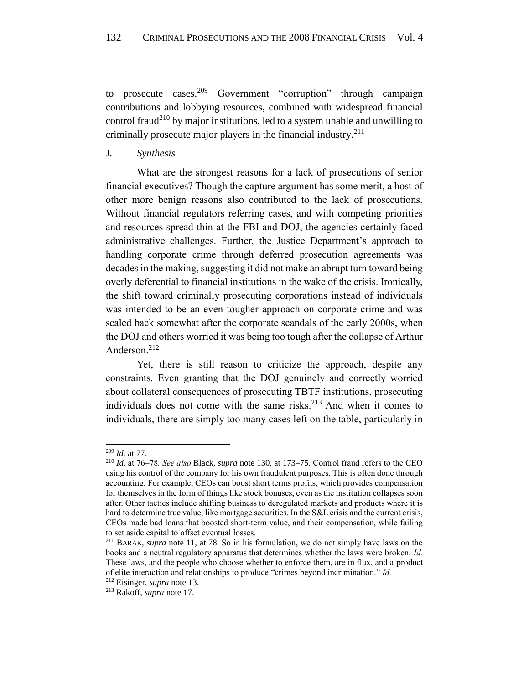to prosecute cases.<sup>209</sup> Government "corruption" through campaign contributions and lobbying resources, combined with widespread financial control fraud<sup>210</sup> by major institutions, led to a system unable and unwilling to criminally prosecute major players in the financial industry. $2^{11}$ 

<span id="page-32-0"></span>J*. Synthesis*

What are the strongest reasons for a lack of prosecutions of senior financial executives? Though the capture argument has some merit, a host of other more benign reasons also contributed to the lack of prosecutions. Without financial regulators referring cases, and with competing priorities and resources spread thin at the FBI and DOJ, the agencies certainly faced administrative challenges. Further, the Justice Department's approach to handling corporate crime through deferred prosecution agreements was decades in the making, suggesting it did not make an abrupt turn toward being overly deferential to financial institutions in the wake of the crisis. Ironically, the shift toward criminally prosecuting corporations instead of individuals was intended to be an even tougher approach on corporate crime and was scaled back somewhat after the corporate scandals of the early 2000s, when the DOJ and others worried it was being too tough after the collapse of Arthur Anderson.<sup>212</sup>

Yet, there is still reason to criticize the approach, despite any constraints. Even granting that the DOJ genuinely and correctly worried about collateral consequences of prosecuting TBTF institutions, prosecuting individuals does not come with the same risks. $2^{13}$  And when it comes to individuals, there are simply too many cases left on the table, particularly in

<sup>209</sup> *Id.* a[t 77.](#page-17-2)

<sup>210</sup> *Id.* at 76–78*. See also* Black, *supra* note 130, at 173–75. Control fraud refers to the CEO using his control of the company for his own fraudulent purposes. This is often done through accounting. For example, CEOs can boost short terms profits, which provides compensation for themselves in the form of things like stock bonuses, even as the institution collapses soon after. Other tactics include shifting business to deregulated markets and products where it is hard to determine true value, like mortgage securities. In the S&L crisis and the current crisis, CEOs made bad loans that boosted short-term value, and their compensation, while failing to set aside capital to offset eventual losses.

<sup>211</sup> BARAK, *supra* note 11, at 78*.* So in his formulation, we do not simply have laws on the books and a neutral regulatory apparatus that determines whether the laws were broken. *Id.* These laws, and the people who choose whether to enforce them, are in flux, and a product of elite interaction and relationships to produce "crimes beyond incrimination." *Id.*

<sup>212</sup> Eisinger, *supra* note 13.

<sup>213</sup> Rakoff, *supra* note 17.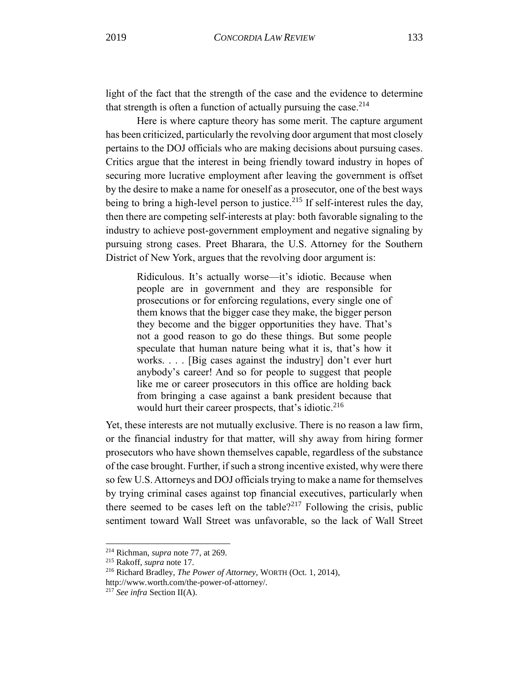light of the fact that the strength of the case and the evidence to determine that strength is often a function of actually pursuing the case.  $2^{14}$ 

Here is where capture theory has some merit. The capture argument has been criticized, particularly the revolving door argument that most closely pertains to the DOJ officials who are making decisions about pursuing cases. Critics argue that the interest in being friendly toward industry in hopes of securing more lucrative employment after leaving the government is offset by the desire to make a name for oneself as a prosecutor, one of the best ways being to bring a high-level person to justice.<sup>215</sup> If self-interest rules the day, then there are competing self-interests at play: both favorable signaling to the industry to achieve post-government employment and negative signaling by pursuing strong cases. Preet Bharara, the U.S. Attorney for the Southern District of New York, argues that the revolving door argument is:

Ridiculous. It's actually worse—it's idiotic. Because when people are in government and they are responsible for prosecutions or for enforcing regulations, every single one of them knows that the bigger case they make, the bigger person they become and the bigger opportunities they have. That's not a good reason to go do these things. But some people speculate that human nature being what it is, that's how it works. . . . [Big cases against the industry] don't ever hurt anybody's career! And so for people to suggest that people like me or career prosecutors in this office are holding back from bringing a case against a bank president because that would hurt their career prospects, that's idiotic.<sup>216</sup>

Yet, these interests are not mutually exclusive. There is no reason a law firm, or the financial industry for that matter, will shy away from hiring former prosecutors who have shown themselves capable, regardless of the substance of the case brought. Further, if such a strong incentive existed, why were there so few U.S.Attorneys and DOJ officials trying to make a name for themselves by trying criminal cases against top financial executives, particularly when there seemed to be cases left on the table?<sup>217</sup> Following the crisis, public sentiment toward Wall Street was unfavorable, so the lack of Wall Street

<sup>214</sup> Richman, *supra* note 77, at 269.

<sup>215</sup> Rakoff, *supra* note 17.

<sup>216</sup> Richard Bradley, *The Power of Attorney*, WORTH (Oct. 1, 2014),

[http://www.worth.com/the-power-of-attorney/.](http://www.worth.com/the-power-of-attorney/)

<sup>217</sup> *See infra* Section II(A).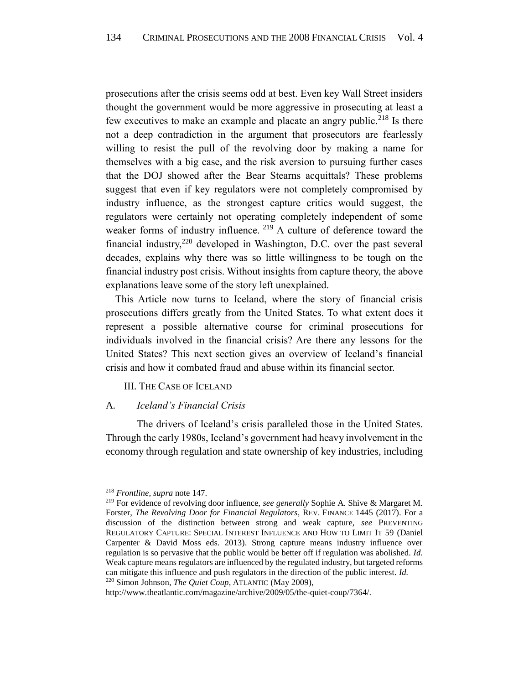prosecutions after the crisis seems odd at best. Even key Wall Street insiders thought the government would be more aggressive in prosecuting at least a few executives to make an example and placate an angry public.<sup>218</sup> Is there not a deep contradiction in the argument that prosecutors are fearlessly willing to resist the pull of the revolving door by making a name for themselves with a big case, and the risk aversion to pursuing further cases that the DOJ showed after the Bear Stearns acquittals? These problems suggest that even if key regulators were not completely compromised by industry influence, as the strongest capture critics would suggest, the regulators were certainly not operating completely independent of some weaker forms of industry influence. <sup>219</sup> A culture of deference toward the financial industry,<sup>220</sup> developed in Washington, D.C. over the past several decades, explains why there was so little willingness to be tough on the financial industry post crisis. Without insights from capture theory, the above explanations leave some of the story left unexplained.

This Article now turns to Iceland, where the story of financial crisis prosecutions differs greatly from the United States. To what extent does it represent a possible alternative course for criminal prosecutions for individuals involved in the financial crisis? Are there any lessons for the United States? This next section gives an overview of Iceland's financial crisis and how it combated fraud and abuse within its financial sector.

# <span id="page-34-0"></span>III. THE CASE OF ICELAND

# <span id="page-34-1"></span>A*. Iceland's Financial Crisis*

The drivers of Iceland's crisis paralleled those in the United States. Through the early 1980s, Iceland's government had heavy involvement in the economy through regulation and state ownership of key industries, including

<sup>218</sup> *Frontline*, *supra* note 147.

<sup>219</sup> For evidence of revolving door influence, *see generally* Sophie A. Shive & Margaret M. Forster, *The Revolving Door for Financial Regulators*, REV. FINANCE 1445 (2017). For a discussion of the distinction between strong and weak capture, *see* PREVENTING REGULATORY CAPTURE: SPECIAL INTEREST INFLUENCE AND HOW TO LIMIT IT 59 (Daniel Carpenter & David Moss eds. 2013). Strong capture means industry influence over regulation is so pervasive that the public would be better off if regulation was abolished. *Id.* Weak capture means regulators are influenced by the regulated industry, but targeted reforms can mitigate this influence and push regulators in the direction of the public interest. *Id.* <sup>220</sup> Simon Johnson, *The Quiet Coup*, ATLANTIC (May 2009),

http://www.theatlantic.com/magazine/archive/2009/05/the-quiet-coup/7364/.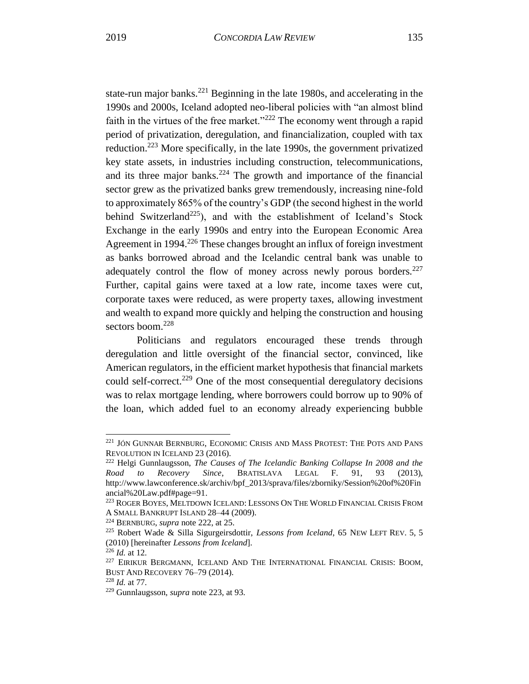state-run major banks.<sup>221</sup> Beginning in the late 1980s, and accelerating in the 1990s and 2000s, Iceland adopted neo-liberal policies with "an almost blind faith in the virtues of the free market."<sup>222</sup> The economy went through a rapid period of privatization, deregulation, and financialization, coupled with tax reduction.<sup>223</sup> More specifically, in the late 1990s, the government privatized key state assets, in industries including construction, telecommunications, and its three major banks.<sup>224</sup> The growth and importance of the financial sector grew as the privatized banks grew tremendously, increasing nine-fold to approximately 865% of the country's GDP (the second highest in the world behind Switzerland<sup>225</sup>), and with the establishment of Iceland's Stock Exchange in the early 1990s and entry into the European Economic Area Agreement in 1994.<sup>226</sup> These changes brought an influx of foreign investment as banks borrowed abroad and the Icelandic central bank was unable to adequately control the flow of money across newly porous borders. $227$ Further, capital gains were taxed at a low rate, income taxes were cut, corporate taxes were reduced, as were property taxes, allowing investment and wealth to expand more quickly and helping the construction and housing sectors boom.<sup>228</sup>

Politicians and regulators encouraged these trends through deregulation and little oversight of the financial sector, convinced, like American regulators, in the efficient market hypothesis that financial markets could self-correct.<sup>229</sup> One of the most consequential deregulatory decisions was to relax mortgage lending, where borrowers could borrow up to 90% of the loan, which added fuel to an economy already experiencing bubble

<sup>&</sup>lt;sup>221</sup> JÓN GUNNAR BERNBURG, ECONOMIC CRISIS AND MASS PROTEST: THE POTS AND PANS REVOLUTION IN ICELAND 23 (2016).

<sup>222</sup> Helgi Gunnlaugsson, *The Causes of The Icelandic Banking Collapse In 2008 and the Road to Recovery Since*, BRATISLAVA LEGAL F. 91, 93 (2013), [http://www.lawconference.sk/archiv/bpf\\_2013/sprava/files/zborniky/Session%20of%20Fin](http://www.lawconference.sk/archiv/bpf_2013/sprava/files/zborniky/Session%20of%20Financial%20Law.pdf#page=91) [ancial%20Law.pdf#page=91.](http://www.lawconference.sk/archiv/bpf_2013/sprava/files/zborniky/Session%20of%20Financial%20Law.pdf#page=91)

<sup>223</sup> ROGER BOYES, MELTDOWN ICELAND: LESSONS ON THE WORLD FINANCIAL CRISIS FROM A SMALL BANKRUPT ISLAND 28–44 (2009).

<sup>224</sup> BERNBURG, *supra* note 222, at 25.

<sup>225</sup> Robert Wade & Silla Sigurgeirsdottir, *Lessons from Iceland*, 65 NEW LEFT REV. 5, 5 (2010) [hereinafter *Lessons from Iceland*].

<sup>226</sup> *Id.* at 12*.*

<sup>227</sup> EIRIKUR BERGMANN, ICELAND AND THE INTERNATIONAL FINANCIAL CRISIS: BOOM, BUST AND RECOVERY 76–79 (2014).

<sup>228</sup> *Id.* at 77*.*

<sup>229</sup> Gunnlaugsson, *supra* note 223, at 93.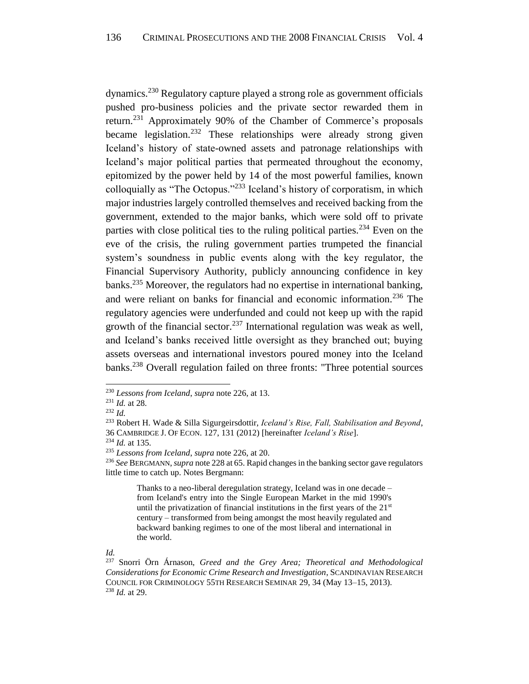dynamics.<sup>230</sup> Regulatory capture played a strong role as government officials pushed pro-business policies and the private sector rewarded them in return.<sup>231</sup> Approximately 90% of the Chamber of Commerce's proposals became legislation.<sup>232</sup> These relationships were already strong given Iceland's history of state-owned assets and patronage relationships with Iceland's major political parties that permeated throughout the economy, epitomized by the power held by 14 of the most powerful families, known colloquially as "The Octopus."<sup>233</sup> Iceland's history of corporatism, in which major industries largely controlled themselves and received backing from the government, extended to the major banks, which were sold off to private parties with close political ties to the ruling political parties.<sup>234</sup> Even on the eve of the crisis, the ruling government parties trumpeted the financial system's soundness in public events along with the key regulator, the Financial Supervisory Authority, publicly announcing confidence in key banks.<sup>235</sup> Moreover, the regulators had no expertise in international banking, and were reliant on banks for financial and economic information.<sup>236</sup> The regulatory agencies were underfunded and could not keep up with the rapid growth of the financial sector.<sup>237</sup> International regulation was weak as well, and Iceland's banks received little oversight as they branched out; buying assets overseas and international investors poured money into the Iceland banks.<sup>238</sup> Overall regulation failed on three fronts: "Three potential sources

l

Thanks to a neo-liberal deregulation strategy, Iceland was in one decade – from Iceland's entry into the Single European Market in the mid 1990's until the privatization of financial institutions in the first years of the 21<sup>st</sup> century – transformed from being amongst the most heavily regulated and backward banking regimes to one of the most liberal and international in the world.

<sup>230</sup> *Lessons from Iceland*, *supra* note 226, at 13.

<sup>231</sup> *Id.* at 28*.*

<sup>232</sup> *Id.*

<sup>233</sup> Robert H. Wade & Silla Sigurgeirsdottir, *Iceland's Rise, Fall, Stabilisation and Beyond*, 36 CAMBRIDGE J. OF ECON. 127, 131 (2012) [hereinafter *Iceland's Rise*].

<sup>234</sup> *Id.* at 135*.*

<sup>235</sup> *Lessons from Iceland*, *supra* note 226, at 20.

<sup>236</sup> *See* BERGMANN, *supra* note 228 at 65. Rapid changes in the banking sector gave regulators little time to catch up. Notes Bergmann:

*Id.*

<sup>237</sup> Snorri Örn Árnason, *Greed and the Grey Area; Theoretical and Methodological Considerations for Economic Crime Research and Investigation*, SCANDINAVIAN RESEARCH COUNCIL FOR CRIMINOLOGY 55TH RESEARCH SEMINAR 29, 34 (May 13–15, 2013). <sup>238</sup> *Id.* at 29.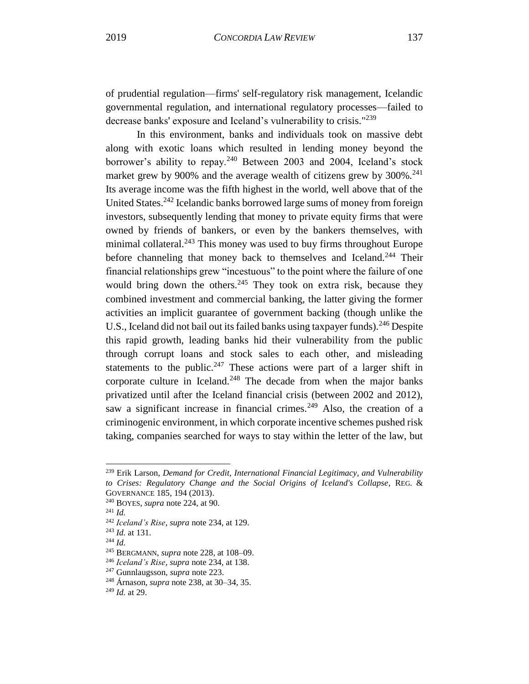of prudential regulation—firms' self-regulatory risk management, Icelandic governmental regulation, and international regulatory processes—failed to decrease banks' exposure and Iceland's vulnerability to crisis."<sup>239</sup>

In this environment, banks and individuals took on massive debt along with exotic loans which resulted in lending money beyond the borrower's ability to repay.<sup>240</sup> Between 2003 and 2004, Iceland's stock market grew by 900% and the average wealth of citizens grew by  $300\%$ <sup>241</sup> Its average income was the fifth highest in the world, well above that of the United States.<sup>242</sup> Icelandic banks borrowed large sums of money from foreign investors, subsequently lending that money to private equity firms that were owned by friends of bankers, or even by the bankers themselves, with minimal collateral.<sup>243</sup> This money was used to buy firms throughout Europe before channeling that money back to themselves and Iceland.<sup>244</sup> Their financial relationships grew "incestuous" to the point where the failure of one would bring down the others.<sup>245</sup> They took on extra risk, because they combined investment and commercial banking, the latter giving the former activities an implicit guarantee of government backing (though unlike the U.S., Iceland did not bail out its failed banks using taxpayer funds).<sup>246</sup> Despite this rapid growth, leading banks hid their vulnerability from the public through corrupt loans and stock sales to each other, and misleading statements to the public.<sup>247</sup> These actions were part of a larger shift in corporate culture in Iceland.<sup>248</sup> The decade from when the major banks privatized until after the Iceland financial crisis (between 2002 and 2012), saw a significant increase in financial crimes.<sup>249</sup> Also, the creation of a criminogenic environment, in which corporate incentive schemes pushed risk taking, companies searched for ways to stay within the letter of the law, but

<sup>239</sup> Erik Larson, *Demand for Credit, International Financial Legitimacy, and Vulnerability to Crises: Regulatory Change and the Social Origins of Iceland's Collapse*, REG. & GOVERNANCE 185, 194 (2013).

<sup>240</sup> BOYES, *supra* note 224, at 90.

<sup>241</sup> *Id.*

<sup>242</sup> *Iceland's Rise*, *supra* note 234, at 129.

<sup>243</sup> *Id.* a[t 131](#page-23-0)*.*

<sup>244</sup> *Id.*

<sup>245</sup> BERGMANN, *supra* note 228, at 108–09.

<sup>246</sup> *Iceland's Rise*, *supra* note 234, at 138.

<sup>247</sup> Gunnlaugsson, *supra* note 223.

<sup>248</sup> Árnason, *supra* note 238, at 30–34, 35.

<sup>249</sup> *Id.* at 29.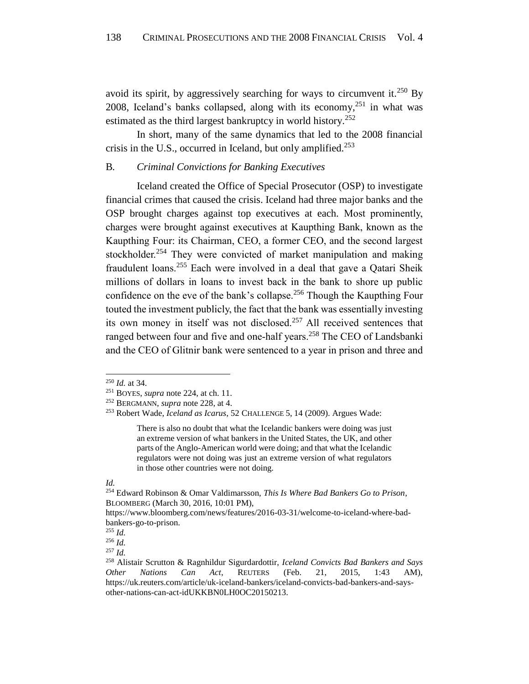avoid its spirit, by aggressively searching for ways to circumvent it.<sup>250</sup> By 2008, Iceland's banks collapsed, along with its economy, $251$  in what was estimated as the third largest bankruptcy in world history.<sup>252</sup>

In short, many of the same dynamics that led to the 2008 financial crisis in the U.S., occurred in Iceland, but only amplified.<sup>253</sup>

# <span id="page-38-0"></span>B*. Criminal Convictions for Banking Executives*

Iceland created the Office of Special Prosecutor (OSP) to investigate financial crimes that caused the crisis. Iceland had three major banks and the OSP brought charges against top executives at each. Most prominently, charges were brought against executives at Kaupthing Bank, known as the Kaupthing Four: its Chairman, CEO, a former CEO, and the second largest stockholder.<sup>254</sup> They were convicted of market manipulation and making fraudulent loans.<sup>255</sup> Each were involved in a deal that gave a Qatari Sheik millions of dollars in loans to invest back in the bank to shore up public confidence on the eve of the bank's collapse.<sup>256</sup> Though the Kaupthing Four touted the investment publicly, the fact that the bank was essentially investing its own money in itself was not disclosed.<sup>257</sup> All received sentences that ranged between four and five and one-half years.<sup>258</sup> The CEO of Landsbanki and the CEO of Glitnir bank were sentenced to a year in prison and three and

l

There is also no doubt that what the Icelandic bankers were doing was just an extreme version of what bankers in the United States, the UK, and other parts of the Anglo-American world were doing; and that what the Icelandic regulators were not doing was just an extreme version of what regulators in those other countries were not doing.

*Id.*

<sup>250</sup> *Id.* at 34.

<sup>251</sup> BOYES, *supra* note 224, at ch. 11.

<sup>252</sup> BERGMANN, *supra* note 228, at 4.

<sup>253</sup> Robert Wade, *Iceland as Icarus*, 52 CHALLENGE 5, 14 (2009). Argues Wade:

<sup>254</sup> Edward Robinson & Omar Valdimarsson, *This Is Where Bad Bankers Go to Prison*, BLOOMBERG (March 30, 2016, 10:01 PM),

https://www.bloomberg.com/news/features/2016-03-31/welcome-to-iceland-where-badbankers-go-to-prison.

<sup>255</sup> *Id.*

<sup>256</sup> *Id.* <sup>257</sup> *Id.*

<sup>258</sup> Alistair Scrutton & Ragnhildur Sigurdardottir, *Iceland Convicts Bad Bankers and Says Other Nations Can Act*, REUTERS (Feb. 21, 2015, 1:43 AM), https://uk.reuters.com/article/uk-iceland-bankers/iceland-convicts-bad-bankers-and-saysother-nations-can-act-idUKKBN0LH0OC20150213.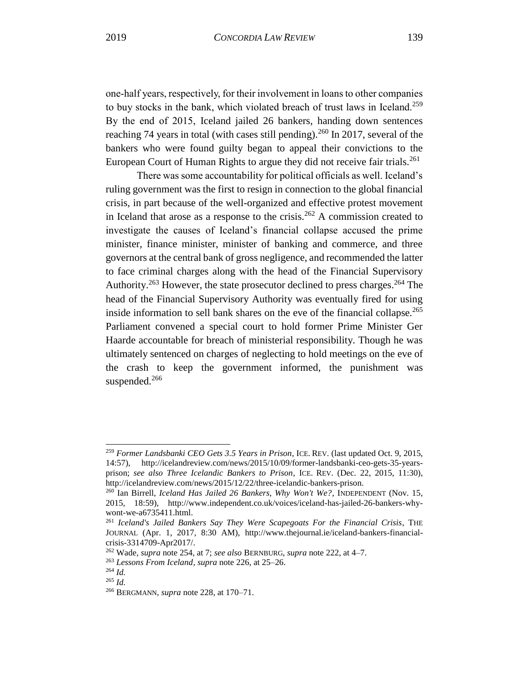one-half years, respectively, for their involvement in loans to other companies to buy stocks in the bank, which violated breach of trust laws in Iceland.<sup>259</sup> By the end of 2015, Iceland jailed 26 bankers, handing down sentences reaching 74 years in total (with cases still pending).<sup>260</sup> In 2017, several of the bankers who were found guilty began to appeal their convictions to the European Court of Human Rights to argue they did not receive fair trials.<sup>261</sup>

There was some accountability for political officials as well. Iceland's ruling government was the first to resign in connection to the global financial crisis, in part because of the well-organized and effective protest movement in Iceland that arose as a response to the crisis.<sup>262</sup> A commission created to investigate the causes of Iceland's financial collapse accused the prime minister, finance minister, minister of banking and commerce, and three governors at the central bank of gross negligence, and recommended the latter to face criminal charges along with the head of the Financial Supervisory Authority.<sup>263</sup> However, the state prosecutor declined to press charges.<sup>264</sup> The head of the Financial Supervisory Authority was eventually fired for using inside information to sell bank shares on the eve of the financial collapse.<sup>265</sup> Parliament convened a special court to hold former Prime Minister Ger Haarde accountable for breach of ministerial responsibility. Though he was ultimately sentenced on charges of neglecting to hold meetings on the eve of the crash to keep the government informed, the punishment was suspended.<sup>266</sup>

<sup>259</sup> *Former Landsbanki CEO Gets 3.5 Years in Prison*, ICE. REV. (last updated Oct. 9, 2015, 14:57), [http://icelandreview.com/news/2015/10/09/former-landsbanki-ceo-gets-35-years](http://icelandreview.com/news/2015/10/09/former-landsbanki-ceo-gets-35-years-prison)[prison;](http://icelandreview.com/news/2015/10/09/former-landsbanki-ceo-gets-35-years-prison) *see also Three Icelandic Bankers to Prison*, ICE. REV. (Dec. 22, 2015, 11:30), [http://icelandreview.com/news/2015/12/22/three-icelandic-bankers-prison.](http://icelandreview.com/news/2015/12/22/three-icelandic-bankers-prison)

<sup>260</sup> Ian Birrell, *Iceland Has Jailed 26 Bankers, Why Won't We?*, INDEPENDENT (Nov. 15, 2015, 18:59), [http://www.independent.co.uk/voices/iceland-has-jailed-26-bankers-why](http://www.independent.co.uk/voices/iceland-has-jailed-26-bankers-why-wont-we-a6735411.html)[wont-we-a6735411.html.](http://www.independent.co.uk/voices/iceland-has-jailed-26-bankers-why-wont-we-a6735411.html)

<sup>261</sup> *Iceland's Jailed Bankers Say They Were Scapegoats For the Financial Crisis*, THE JOURNAL (Apr. 1, 2017, 8:30 AM), [http://www.thejournal.ie/iceland-bankers-financial](http://www.thejournal.ie/iceland-bankers-financial-crisis-3314709-Apr2017/)[crisis-3314709-Apr2017/.](http://www.thejournal.ie/iceland-bankers-financial-crisis-3314709-Apr2017/)

<sup>262</sup> Wade, *supra* note 254, at 7; *see also* BERNBURG, *supra* note 222, at 4–7.

<sup>263</sup> *Lessons From Iceland*, *supra* note 226, at 25–26.

<sup>264</sup> *Id.*

<sup>265</sup> *Id.*

<sup>266</sup> BERGMANN, *supra* note 228, at 170–71.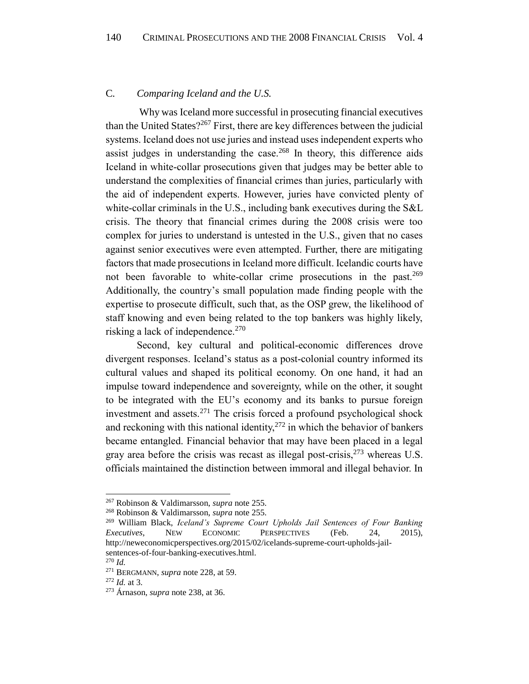# <span id="page-40-0"></span>C*. Comparing Iceland and the U.S.*

Why was Iceland more successful in prosecuting financial executives than the United States?<sup>267</sup> First, there are key differences between the judicial systems. Iceland does not use juries and instead uses independent experts who assist judges in understanding the case.<sup>268</sup> In theory, this difference aids Iceland in white-collar prosecutions given that judges may be better able to understand the complexities of financial crimes than juries, particularly with the aid of independent experts. However, juries have convicted plenty of white-collar criminals in the U.S., including bank executives during the S&L crisis. The theory that financial crimes during the 2008 crisis were too complex for juries to understand is untested in the U.S., given that no cases against senior executives were even attempted. Further, there are mitigating factors that made prosecutions in Iceland more difficult. Icelandic courts have not been favorable to white-collar crime prosecutions in the past.<sup>269</sup> Additionally, the country's small population made finding people with the expertise to prosecute difficult, such that, as the OSP grew, the likelihood of staff knowing and even being related to the top bankers was highly likely, risking a lack of independence. $270$ 

Second, key cultural and political-economic differences drove divergent responses. Iceland's status as a post-colonial country informed its cultural values and shaped its political economy. On one hand, it had an impulse toward independence and sovereignty, while on the other, it sought to be integrated with the EU's economy and its banks to pursue foreign investment and assets. $271$  The crisis forced a profound psychological shock and reckoning with this national identity,  $272$  in which the behavior of bankers became entangled. Financial behavior that may have been placed in a legal gray area before the crisis was recast as illegal post-crisis,  $273$  whereas U.S. officials maintained the distinction between immoral and illegal behavior. In

<sup>267</sup> Robinson & Valdimarsson, *supra* note 255.

<sup>268</sup> Robinson & Valdimarsson, *supra* note 255.

<sup>269</sup> William Black, *Iceland's Supreme Court Upholds Jail Sentences of Four Banking Executives*, NEW ECONOMIC PERSPECTIVES (Feb. 24, 2015), [http://neweconomicperspectives.org/2015/02/icelands-supreme-court-upholds-jail](http://neweconomicperspectives.org/2015/02/icelands-supreme-court-upholds-jail-sentences-of-four-banking-executives.html)[sentences-of-four-banking-executives.html.](http://neweconomicperspectives.org/2015/02/icelands-supreme-court-upholds-jail-sentences-of-four-banking-executives.html)

<sup>270</sup> *Id.*

<sup>271</sup> BERGMANN, *supra* note 228, at 59.

<sup>272</sup> *Id.* at 3.

<sup>273</sup> Árnason, *supra* note 238, at 36.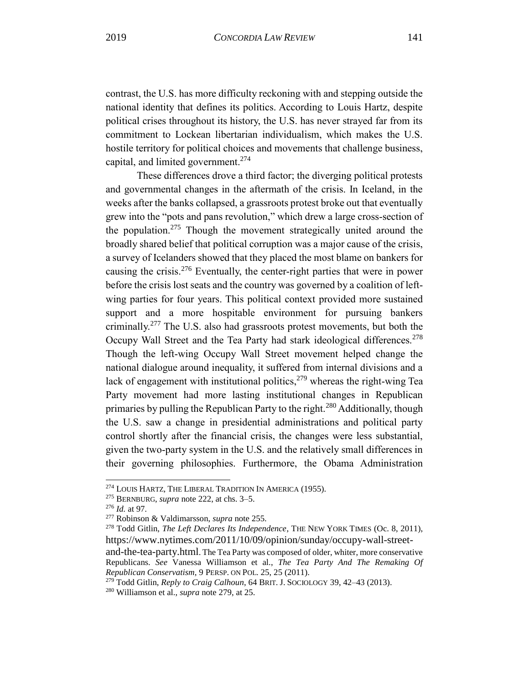contrast, the U.S. has more difficulty reckoning with and stepping outside the national identity that defines its politics. According to Louis Hartz, despite political crises throughout its history, the U.S. has never strayed far from its commitment to Lockean libertarian individualism, which makes the U.S. hostile territory for political choices and movements that challenge business, capital, and limited government.<sup>274</sup>

These differences drove a third factor; the diverging political protests and governmental changes in the aftermath of the crisis. In Iceland, in the weeks after the banks collapsed, a grassroots protest broke out that eventually grew into the "pots and pans revolution," which drew a large cross-section of the population.<sup>275</sup> Though the movement strategically united around the broadly shared belief that political corruption was a major cause of the crisis, a survey of Icelanders showed that they placed the most blame on bankers for causing the crisis.<sup>276</sup> Eventually, the center-right parties that were in power before the crisis lost seats and the country was governed by a coalition of leftwing parties for four years. This political context provided more sustained support and a more hospitable environment for pursuing bankers criminally.<sup>277</sup> The U.S. also had grassroots protest movements, but both the Occupy Wall Street and the Tea Party had stark ideological differences.<sup>278</sup> Though the left-wing Occupy Wall Street movement helped change the national dialogue around inequality, it suffered from internal divisions and a lack of engagement with institutional politics,  $279$  whereas the right-wing Tea Party movement had more lasting institutional changes in Republican primaries by pulling the Republican Party to the right.<sup>280</sup> Additionally, though the U.S. saw a change in presidential administrations and political party control shortly after the financial crisis, the changes were less substantial, given the two-party system in the U.S. and the relatively small differences in their governing philosophies. Furthermore, the Obama Administration

<sup>274</sup> LOUIS HARTZ, THE LIBERAL TRADITION IN AMERICA (1955).

<sup>275</sup> BERNBURG, *supra* note 222, at chs. 3–5.

<sup>276</sup> *Id.* at 97*.* 

<sup>277</sup> Robinson & Valdimarsson, *supra* note 255.

<sup>278</sup> Todd Gitlin, *The Left Declares Its Independence*, THE NEW YORK TIMES (Oc. 8, 2011), https://www.nytimes.com/2011/10/09/opinion/sunday/occupy-wall-street-

and-the-tea-party.html. The Tea Party was composed of older, whiter, more conservative Republicans. *See* Vanessa Williamson et al., *The Tea Party And The Remaking Of Republican Conservatism*, 9 PERSP. ON POL. 25, 25 (2011).

<sup>279</sup> Todd Gitlin, *Reply to Craig Calhoun*, 64 BRIT. J. SOCIOLOGY 39, 42–43 (2013).

<sup>280</sup> Williamson et al., *supra* note 279, at 25.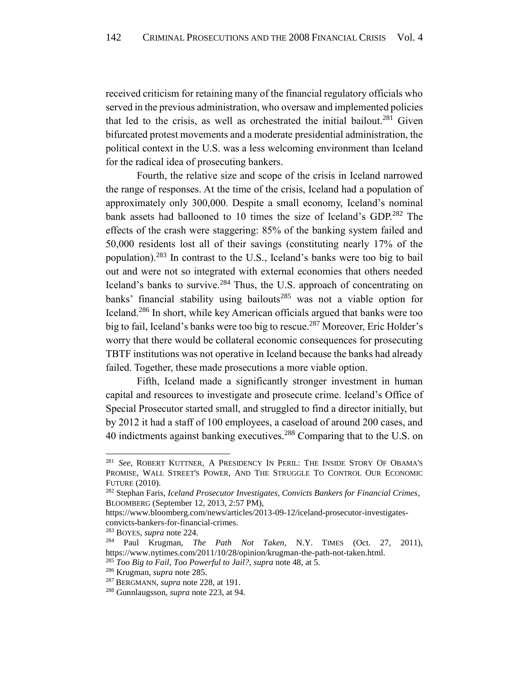<span id="page-42-0"></span>received criticism for retaining many of the financial regulatory officials who served in the previous administration, who oversaw and implemented policies that led to the crisis, as well as orchestrated the initial bailout.<sup>281</sup> Given bifurcated protest movements and a moderate presidential administration, the political context in the U.S. was a less welcoming environment than Iceland for the radical idea of prosecuting bankers.

Fourth, the relative size and scope of the crisis in Iceland narrowed the range of responses. At the time of the crisis, Iceland had a population of approximately only 300,000. Despite a small economy, Iceland's nominal bank assets had ballooned to 10 times the size of Iceland's GDP.<sup>282</sup> The effects of the crash were staggering: 85% of the banking system failed and 50,000 residents lost all of their savings (constituting nearly 17% of the population).<sup>283</sup> In contrast to the U.S., Iceland's banks were too big to bail out and were not so integrated with external economies that others needed Iceland's banks to survive.<sup>284</sup> Thus, the U.S. approach of concentrating on banks' financial stability using bailouts<sup>285</sup> was not a viable option for Iceland.<sup>286</sup> In short, while key American officials argued that banks were too big to fail, Iceland's banks were too big to rescue.<sup>287</sup> Moreover, Eric Holder's worry that there would be collateral economic consequences for prosecuting TBTF institutions was not operative in Iceland because the banks had already failed. Together, these made prosecutions a more viable option.

Fifth, Iceland made a significantly stronger investment in human capital and resources to investigate and prosecute crime. Iceland's Office of Special Prosecutor started small, and struggled to find a director initially, but by 2012 it had a staff of 100 employees, a caseload of around 200 cases, and 40 indictments against banking executives.<sup>288</sup> Comparing that to the U.S. on

<sup>281</sup> *See*, ROBERT KUTTNER, A PRESIDENCY IN PERIL: THE INSIDE STORY OF OBAMA'S PROMISE, WALL STREET'S POWER, AND THE STRUGGLE TO CONTROL OUR ECONOMIC FUTURE (2010).

<sup>282</sup> Stephan Faris, *Iceland Prosecutor Investigates, Convicts Bankers for Financial Crimes*, BLOOMBERG (September 12, 2013, 2:57 PM),

https://www.bloomberg.com/news/articles/2013-09-12/iceland-prosecutor-investigatesconvicts-bankers-for-financial-crimes.

<sup>283</sup> BOYES, *supra* note 224.

<sup>284</sup> Paul Krugman, *The Path Not Taken*, N.Y. TIMES (Oct. 27, 2011), https://www.nytimes.com/2011/10/28/opinion/krugman-the-path-not-taken.html.

<sup>285</sup> *Too Big to Fail*, *Too Powerful to Jail?, supra* note 48, at 5.

<sup>286</sup> Krugman, *supra* note 285.

<sup>287</sup> BERGMANN, *supra* note 228, at 191.

<sup>288</sup> Gunnlaugsson, *supra* note 223, at 94.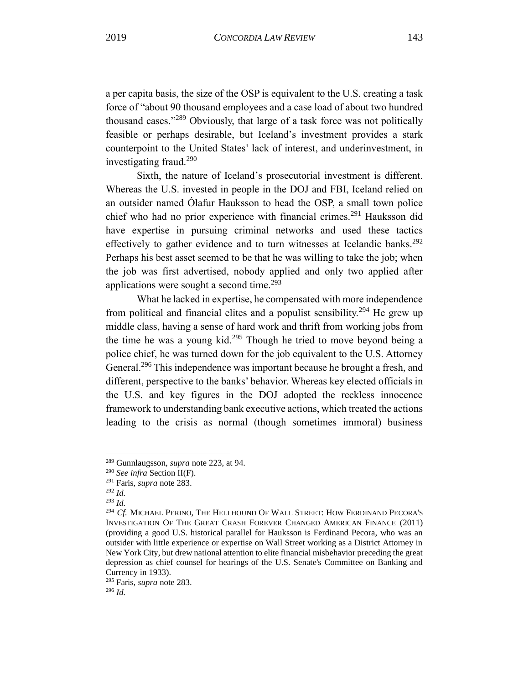a per capita basis, the size of the OSP is equivalent to the U.S. creating a task force of "about 90 thousand employees and a case load of about two hundred thousand cases."<sup>289</sup> Obviously, that large of a task force was not politically feasible or perhaps desirable, but Iceland's investment provides a stark counterpoint to the United States' lack of interest, and underinvestment, in investigating fraud. $290$ 

Sixth, the nature of Iceland's prosecutorial investment is different. Whereas the U.S. invested in people in the DOJ and FBI, Iceland relied on an outsider named Ólafur Hauksson to head the OSP, a small town police chief who had no prior experience with financial crimes.<sup>291</sup> Hauksson did have expertise in pursuing criminal networks and used these tactics effectively to gather evidence and to turn witnesses at Icelandic banks.<sup>292</sup> Perhaps his best asset seemed to be that he was willing to take the job; when the job was first advertised, nobody applied and only two applied after applications were sought a second time. $293$ 

What he lacked in expertise, he compensated with more independence from political and financial elites and a populist sensibility.<sup>294</sup> He grew up middle class, having a sense of hard work and thrift from working jobs from the time he was a young kid.<sup>295</sup> Though he tried to move beyond being a police chief, he was turned down for the job equivalent to the U.S. Attorney General.<sup>296</sup> This independence was important because he brought a fresh, and different, perspective to the banks' behavior. Whereas key elected officials in the U.S. and key figures in the DOJ adopted the reckless innocence framework to understanding bank executive actions, which treated the actions leading to the crisis as normal (though sometimes immoral) business

<sup>289</sup> Gunnlaugsson, *supra* note 223, at 94.

<sup>290</sup> *See infra* Section II(F).

<sup>291</sup> Faris, *supra* note 283.

<sup>292</sup> *Id.*

<sup>293</sup> *Id.*

<sup>294</sup> *Cf.* MICHAEL PERINO, THE HELLHOUND OF WALL STREET: HOW FERDINAND PECORA'S INVESTIGATION OF THE GREAT CRASH FOREVER CHANGED AMERICAN FINANCE (2011) (providing a good U.S. historical parallel for Hauksson is Ferdinand Pecora, who was an outsider with little experience or expertise on Wall Street working as a District Attorney in New York City, but drew national attention to elite financial misbehavior preceding the great depression as chief counsel for hearings of the U.S. Senate's Committee on Banking and Currency in 1933).

<sup>295</sup> Faris, *supra* note 283.

<sup>296</sup> *Id.*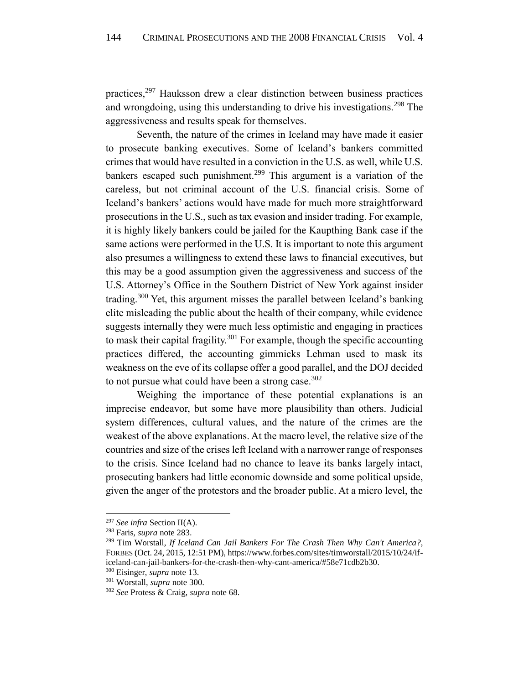practices,<sup>297</sup> Hauksson drew a clear distinction between business practices and wrongdoing, using this understanding to drive his investigations.<sup>298</sup> The aggressiveness and results speak for themselves.

Seventh, the nature of the crimes in Iceland may have made it easier to prosecute banking executives. Some of Iceland's bankers committed crimes that would have resulted in a conviction in the U.S. as well, while U.S. bankers escaped such punishment.<sup>299</sup> This argument is a variation of the careless, but not criminal account of the U.S. financial crisis. Some of Iceland's bankers' actions would have made for much more straightforward prosecutions in the U.S., such as tax evasion and insider trading. For example, it is highly likely bankers could be jailed for the Kaupthing Bank case if the same actions were performed in the U.S. It is important to note this argument also presumes a willingness to extend these laws to financial executives, but this may be a good assumption given the aggressiveness and success of the U.S. Attorney's Office in the Southern District of New York against insider trading.<sup>300</sup> Yet, this argument misses the parallel between Iceland's banking elite misleading the public about the health of their company, while evidence suggests internally they were much less optimistic and engaging in practices to mask their capital fragility.<sup>301</sup> For example, though the specific accounting practices differed, the accounting gimmicks Lehman used to mask its weakness on the eve of its collapse offer a good parallel, and the DOJ decided to not pursue what could have been a strong case.<sup>302</sup>

Weighing the importance of these potential explanations is an imprecise endeavor, but some have more plausibility than others. Judicial system differences, cultural values, and the nature of the crimes are the weakest of the above explanations. At the macro level, the relative size of the countries and size of the crises left Iceland with a narrower range of responses to the crisis. Since Iceland had no chance to leave its banks largely intact, prosecuting bankers had little economic downside and some political upside, given the anger of the protestors and the broader public. At a micro level, the

<sup>297</sup> *See infra* Section II(A).

<sup>298</sup> Faris, *supra* note 283.

<sup>299</sup> Tim Worstall, *If Iceland Can Jail Bankers For The Crash Then Why Can't America?*, FORBES (Oct. 24, 2015, 12:51 PM)[, https://www.forbes.com/sites/timworstall/2015/10/24/if](https://www.forbes.com/sites/timworstall/2015/10/24/if-iceland-can-jail-bankers-for-the-crash-then-why-cant-america/#58e71cdb2b30)[iceland-can-jail-bankers-for-the-crash-then-why-cant-america/#58e71cdb2b30.](https://www.forbes.com/sites/timworstall/2015/10/24/if-iceland-can-jail-bankers-for-the-crash-then-why-cant-america/#58e71cdb2b30)

<sup>300</sup> Eisinger, *supra* note 13.

<sup>301</sup> Worstall, *supra* note 300.

<sup>302</sup> *See* Protess & Craig, *supra* note 68.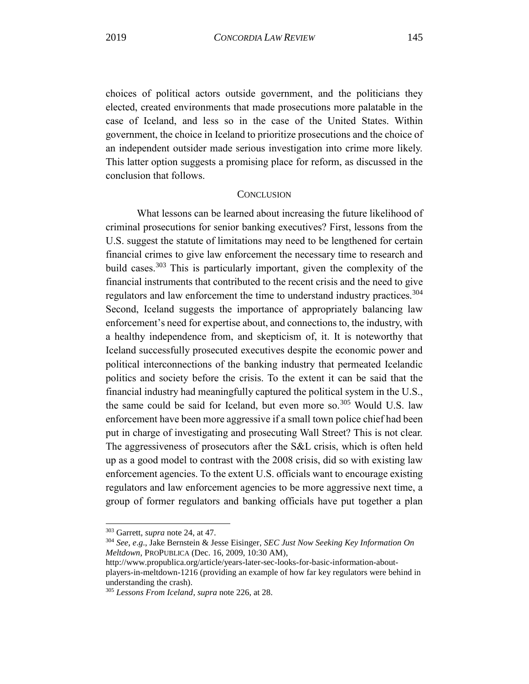choices of political actors outside government, and the politicians they elected, created environments that made prosecutions more palatable in the case of Iceland, and less so in the case of the United States. Within government, the choice in Iceland to prioritize prosecutions and the choice of an independent outsider made serious investigation into crime more likely. This latter option suggests a promising place for reform, as discussed in the conclusion that follows.

# **CONCLUSION**

<span id="page-45-0"></span>What lessons can be learned about increasing the future likelihood of criminal prosecutions for senior banking executives? First, lessons from the U.S. suggest the statute of limitations may need to be lengthened for certain financial crimes to give law enforcement the necessary time to research and build cases.<sup>303</sup> This is particularly important, given the complexity of the financial instruments that contributed to the recent crisis and the need to give regulators and law enforcement the time to understand industry practices.<sup>304</sup> Second, Iceland suggests the importance of appropriately balancing law enforcement's need for expertise about, and connections to, the industry, with a healthy independence from, and skepticism of, it. It is noteworthy that Iceland successfully prosecuted executives despite the economic power and political interconnections of the banking industry that permeated Icelandic politics and society before the crisis. To the extent it can be said that the financial industry had meaningfully captured the political system in the U.S., the same could be said for Iceland, but even more so.<sup>305</sup> Would U.S. law enforcement have been more aggressive if a small town police chief had been put in charge of investigating and prosecuting Wall Street? This is not clear. The aggressiveness of prosecutors after the S&L crisis, which is often held up as a good model to contrast with the 2008 crisis, did so with existing law enforcement agencies. To the extent U.S. officials want to encourage existing regulators and law enforcement agencies to be more aggressive next time, a group of former regulators and banking officials have put together a plan

<sup>303</sup> Garrett, *supra* note 24, at 47.

<sup>304</sup> *See*, *e*.*g*., Jake Bernstein & Jesse Eisinger, *SEC Just Now Seeking Key Information On Meltdown*, PROPUBLICA (Dec. 16, 2009, 10:30 AM),

[http://www.propublica.org/article/years-later-sec-looks-for-basic-information-about](http://www.propublica.org/article/years-later-sec-looks-for-basic-information-about-players-in-meltdown-1216)[players-in-meltdown-1216](http://www.propublica.org/article/years-later-sec-looks-for-basic-information-about-players-in-meltdown-1216) (providing an example of how far key regulators were behind in understanding the crash).

<sup>305</sup> *Lessons From Iceland*, *supra* note 226, at 28.